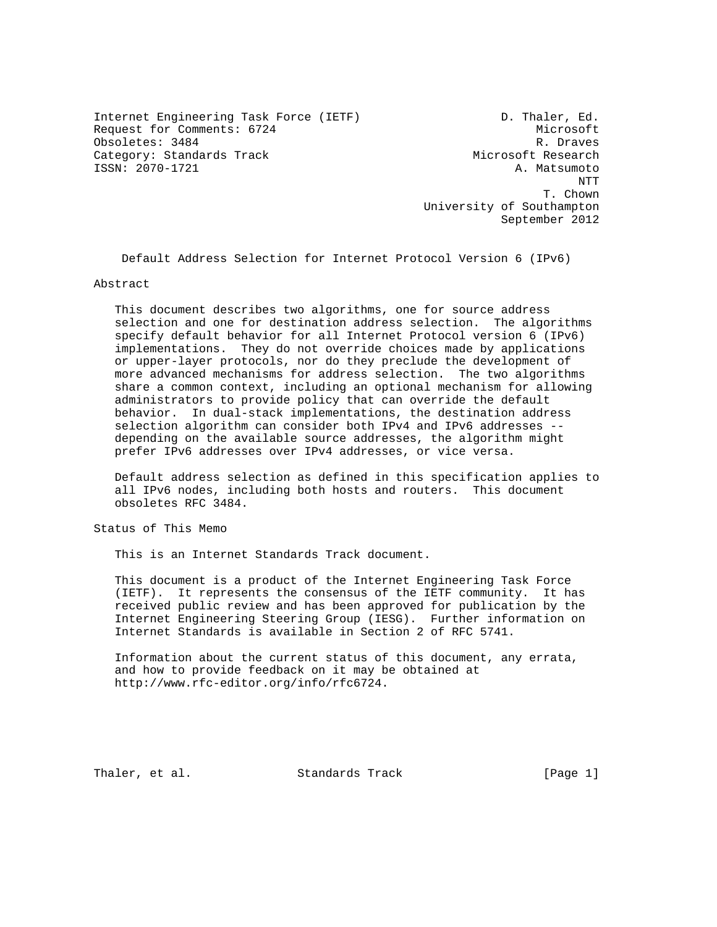Internet Engineering Task Force (IETF) D. Thaler, Ed. Request for Comments: 6724 Microsoft Obsoletes: 3484 R. Draves Category: Standards Track Microsoft Research ISSN: 2070-1721 A. Matsumoto

 NTT T. Chown T. Chown T. Chown T. Chown T. Chown T. Chown T. Chown T. Chown T. Chown T. Chown T. Chown T. Chown T. Chown T. Chown T. Chown T. Chown T. Chown T. Chown T. Chown T. Chown T. Chown T. Chown T. Chown T. Chown T. Cho University of Southampton September 2012

Default Address Selection for Internet Protocol Version 6 (IPv6)

Abstract

 This document describes two algorithms, one for source address selection and one for destination address selection. The algorithms specify default behavior for all Internet Protocol version 6 (IPv6) implementations. They do not override choices made by applications or upper-layer protocols, nor do they preclude the development of more advanced mechanisms for address selection. The two algorithms share a common context, including an optional mechanism for allowing administrators to provide policy that can override the default behavior. In dual-stack implementations, the destination address selection algorithm can consider both IPv4 and IPv6 addresses - depending on the available source addresses, the algorithm might prefer IPv6 addresses over IPv4 addresses, or vice versa.

 Default address selection as defined in this specification applies to all IPv6 nodes, including both hosts and routers. This document obsoletes RFC 3484.

Status of This Memo

This is an Internet Standards Track document.

 This document is a product of the Internet Engineering Task Force (IETF). It represents the consensus of the IETF community. It has received public review and has been approved for publication by the Internet Engineering Steering Group (IESG). Further information on Internet Standards is available in Section 2 of RFC 5741.

 Information about the current status of this document, any errata, and how to provide feedback on it may be obtained at http://www.rfc-editor.org/info/rfc6724.

Thaler, et al. Standards Track [Page 1]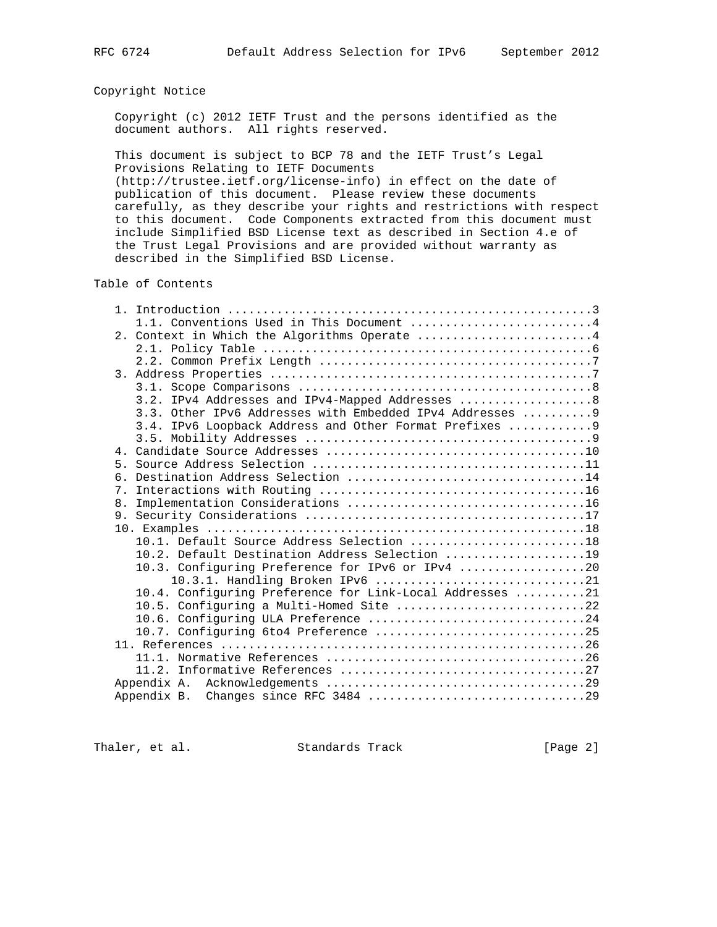# Copyright Notice

 Copyright (c) 2012 IETF Trust and the persons identified as the document authors. All rights reserved.

 This document is subject to BCP 78 and the IETF Trust's Legal Provisions Relating to IETF Documents

 (http://trustee.ietf.org/license-info) in effect on the date of publication of this document. Please review these documents carefully, as they describe your rights and restrictions with respect to this document. Code Components extracted from this document must include Simplified BSD License text as described in Section 4.e of the Trust Legal Provisions and are provided without warranty as described in the Simplified BSD License.

Table of Contents

|       | 1.1. Conventions Used in This Document 4                  |  |
|-------|-----------------------------------------------------------|--|
|       | 2. Context in Which the Algorithms Operate 4              |  |
|       |                                                           |  |
|       |                                                           |  |
|       |                                                           |  |
|       |                                                           |  |
|       | 3.2. IPv4 Addresses and IPv4-Mapped Addresses  8          |  |
|       | 3.3. Other IPv6 Addresses with Embedded IPv4 Addresses  9 |  |
|       | 3.4. IPv6 Loopback Address and Other Format Prefixes  9   |  |
|       |                                                           |  |
|       |                                                           |  |
| $5 -$ |                                                           |  |
| რ —   |                                                           |  |
|       |                                                           |  |
| 8.    |                                                           |  |
|       |                                                           |  |
|       | 10.1. Default Source Address Selection 18                 |  |
|       | 10.2. Default Destination Address Selection 19            |  |
|       | 10.3. Configuring Preference for IPv6 or IPv4 20          |  |
|       | 10.3.1. Handling Broken IPv6 21                           |  |
|       | 10.4. Configuring Preference for Link-Local Addresses 21  |  |
|       | 10.5. Configuring a Multi-Homed Site 22                   |  |
|       | 10.6. Configuring ULA Preference 24                       |  |
|       |                                                           |  |
|       |                                                           |  |
|       |                                                           |  |
|       |                                                           |  |
|       | Appendix A.                                               |  |
|       |                                                           |  |

Thaler, et al. Standards Track [Page 2]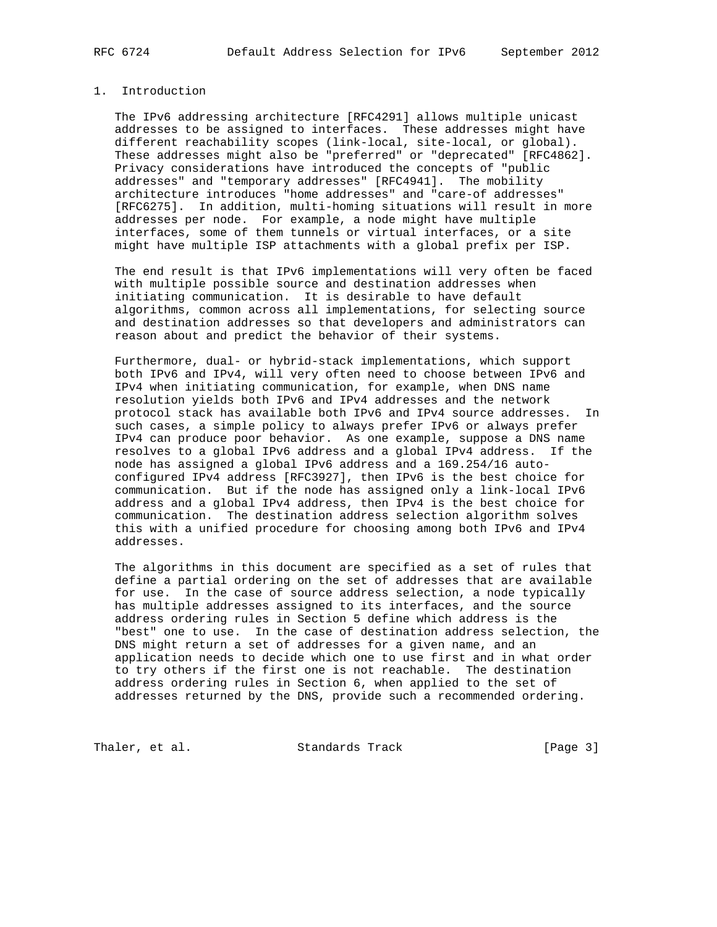# 1. Introduction

 The IPv6 addressing architecture [RFC4291] allows multiple unicast addresses to be assigned to interfaces. These addresses might have different reachability scopes (link-local, site-local, or global). These addresses might also be "preferred" or "deprecated" [RFC4862]. Privacy considerations have introduced the concepts of "public addresses" and "temporary addresses" [RFC4941]. The mobility architecture introduces "home addresses" and "care-of addresses" [RFC6275]. In addition, multi-homing situations will result in more addresses per node. For example, a node might have multiple interfaces, some of them tunnels or virtual interfaces, or a site might have multiple ISP attachments with a global prefix per ISP.

 The end result is that IPv6 implementations will very often be faced with multiple possible source and destination addresses when initiating communication. It is desirable to have default algorithms, common across all implementations, for selecting source and destination addresses so that developers and administrators can reason about and predict the behavior of their systems.

 Furthermore, dual- or hybrid-stack implementations, which support both IPv6 and IPv4, will very often need to choose between IPv6 and IPv4 when initiating communication, for example, when DNS name resolution yields both IPv6 and IPv4 addresses and the network protocol stack has available both IPv6 and IPv4 source addresses. In such cases, a simple policy to always prefer IPv6 or always prefer IPv4 can produce poor behavior. As one example, suppose a DNS name resolves to a global IPv6 address and a global IPv4 address. If the node has assigned a global IPv6 address and a 169.254/16 auto configured IPv4 address [RFC3927], then IPv6 is the best choice for communication. But if the node has assigned only a link-local IPv6 address and a global IPv4 address, then IPv4 is the best choice for communication. The destination address selection algorithm solves this with a unified procedure for choosing among both IPv6 and IPv4 addresses.

 The algorithms in this document are specified as a set of rules that define a partial ordering on the set of addresses that are available for use. In the case of source address selection, a node typically has multiple addresses assigned to its interfaces, and the source address ordering rules in Section 5 define which address is the "best" one to use. In the case of destination address selection, the DNS might return a set of addresses for a given name, and an application needs to decide which one to use first and in what order to try others if the first one is not reachable. The destination address ordering rules in Section 6, when applied to the set of addresses returned by the DNS, provide such a recommended ordering.

Thaler, et al. Standards Track [Page 3]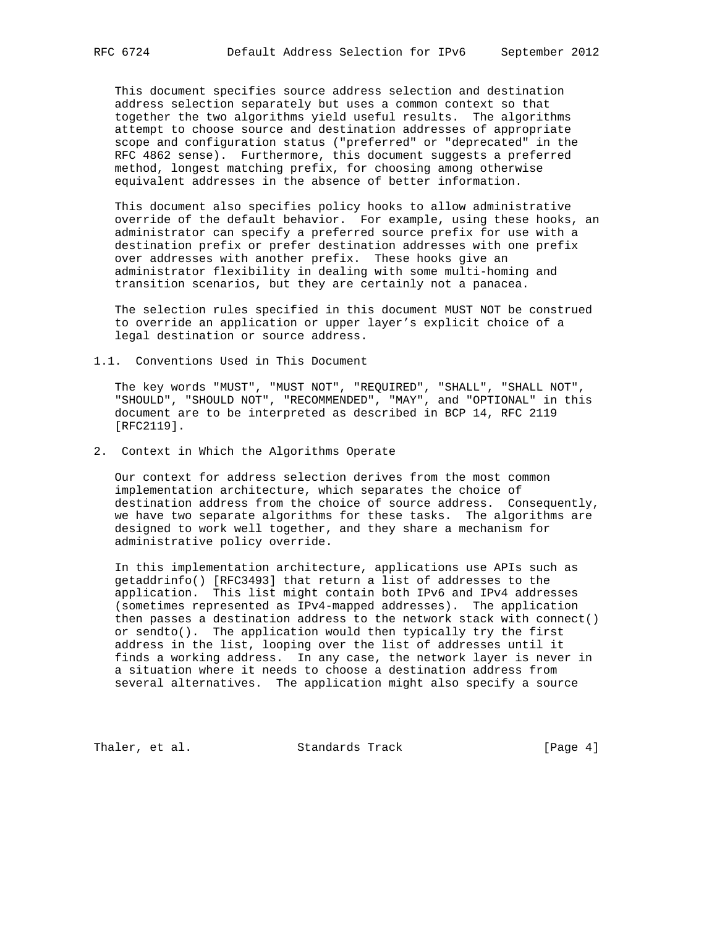This document specifies source address selection and destination address selection separately but uses a common context so that together the two algorithms yield useful results. The algorithms attempt to choose source and destination addresses of appropriate scope and configuration status ("preferred" or "deprecated" in the RFC 4862 sense). Furthermore, this document suggests a preferred method, longest matching prefix, for choosing among otherwise equivalent addresses in the absence of better information.

 This document also specifies policy hooks to allow administrative override of the default behavior. For example, using these hooks, an administrator can specify a preferred source prefix for use with a destination prefix or prefer destination addresses with one prefix over addresses with another prefix. These hooks give an administrator flexibility in dealing with some multi-homing and transition scenarios, but they are certainly not a panacea.

 The selection rules specified in this document MUST NOT be construed to override an application or upper layer's explicit choice of a legal destination or source address.

1.1. Conventions Used in This Document

 The key words "MUST", "MUST NOT", "REQUIRED", "SHALL", "SHALL NOT", "SHOULD", "SHOULD NOT", "RECOMMENDED", "MAY", and "OPTIONAL" in this document are to be interpreted as described in BCP 14, RFC 2119 [RFC2119].

2. Context in Which the Algorithms Operate

 Our context for address selection derives from the most common implementation architecture, which separates the choice of destination address from the choice of source address. Consequently, we have two separate algorithms for these tasks. The algorithms are designed to work well together, and they share a mechanism for administrative policy override.

 In this implementation architecture, applications use APIs such as getaddrinfo() [RFC3493] that return a list of addresses to the application. This list might contain both IPv6 and IPv4 addresses (sometimes represented as IPv4-mapped addresses). The application then passes a destination address to the network stack with connect() or sendto(). The application would then typically try the first address in the list, looping over the list of addresses until it finds a working address. In any case, the network layer is never in a situation where it needs to choose a destination address from several alternatives. The application might also specify a source

Thaler, et al. Standards Track [Page 4]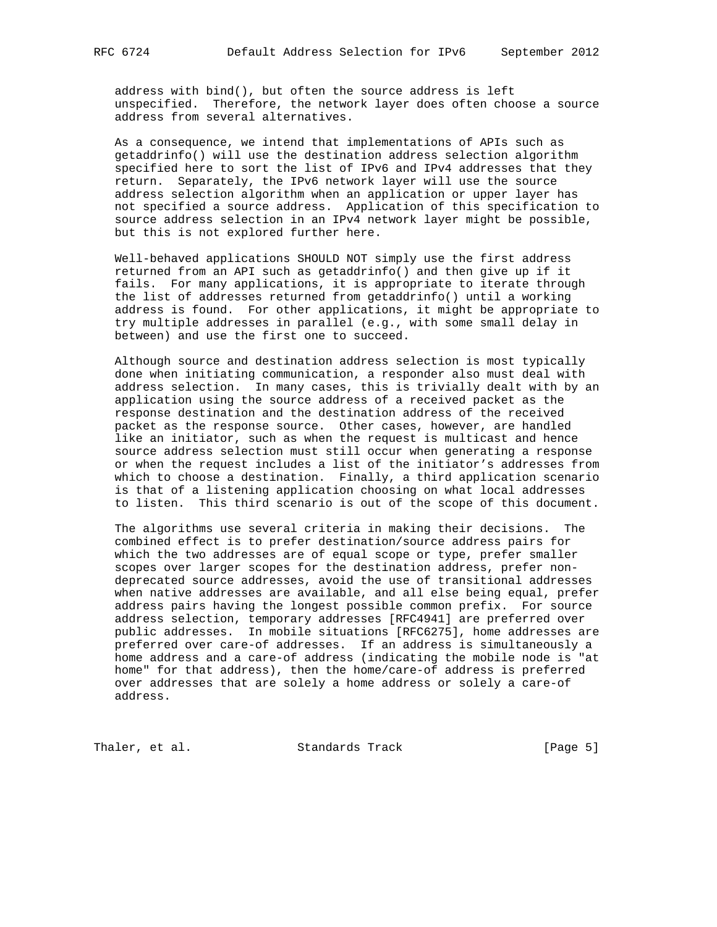address with bind(), but often the source address is left unspecified. Therefore, the network layer does often choose a source

address from several alternatives.

 As a consequence, we intend that implementations of APIs such as getaddrinfo() will use the destination address selection algorithm specified here to sort the list of IPv6 and IPv4 addresses that they return. Separately, the IPv6 network layer will use the source address selection algorithm when an application or upper layer has not specified a source address. Application of this specification to source address selection in an IPv4 network layer might be possible, but this is not explored further here.

 Well-behaved applications SHOULD NOT simply use the first address returned from an API such as getaddrinfo() and then give up if it fails. For many applications, it is appropriate to iterate through the list of addresses returned from getaddrinfo() until a working address is found. For other applications, it might be appropriate to try multiple addresses in parallel (e.g., with some small delay in between) and use the first one to succeed.

 Although source and destination address selection is most typically done when initiating communication, a responder also must deal with address selection. In many cases, this is trivially dealt with by an application using the source address of a received packet as the response destination and the destination address of the received packet as the response source. Other cases, however, are handled like an initiator, such as when the request is multicast and hence source address selection must still occur when generating a response or when the request includes a list of the initiator's addresses from which to choose a destination. Finally, a third application scenario is that of a listening application choosing on what local addresses to listen. This third scenario is out of the scope of this document.

 The algorithms use several criteria in making their decisions. The combined effect is to prefer destination/source address pairs for which the two addresses are of equal scope or type, prefer smaller scopes over larger scopes for the destination address, prefer non deprecated source addresses, avoid the use of transitional addresses when native addresses are available, and all else being equal, prefer address pairs having the longest possible common prefix. For source address selection, temporary addresses [RFC4941] are preferred over public addresses. In mobile situations [RFC6275], home addresses are preferred over care-of addresses. If an address is simultaneously a home address and a care-of address (indicating the mobile node is "at home" for that address), then the home/care-of address is preferred over addresses that are solely a home address or solely a care-of address.

Thaler, et al. Standards Track [Page 5]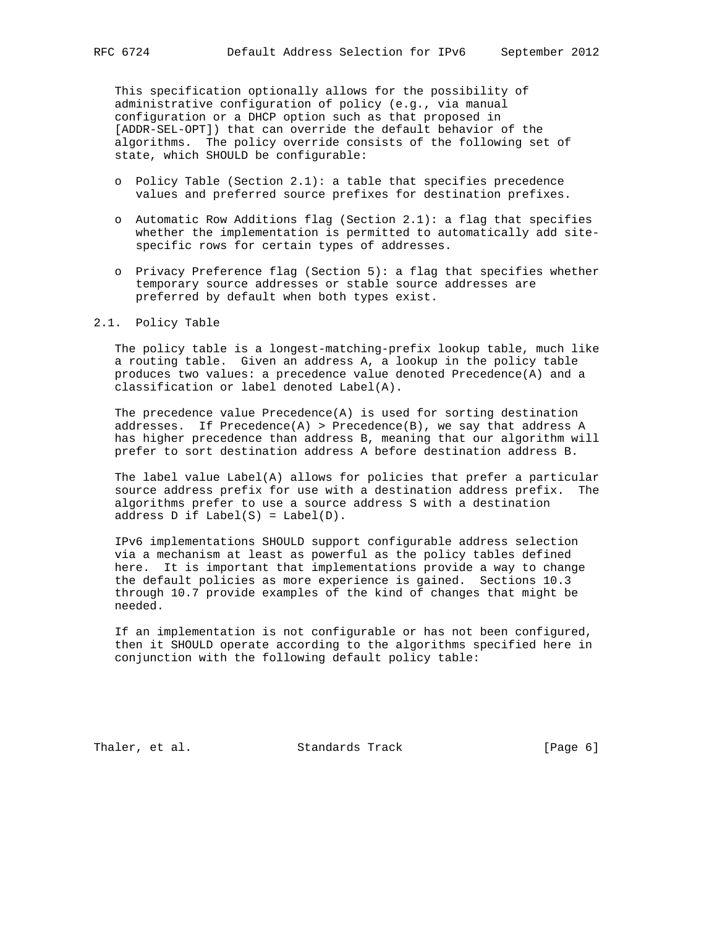This specification optionally allows for the possibility of administrative configuration of policy (e.g., via manual configuration or a DHCP option such as that proposed in [ADDR-SEL-OPT]) that can override the default behavior of the algorithms. The policy override consists of the following set of state, which SHOULD be configurable:

- o Policy Table (Section 2.1): a table that specifies precedence values and preferred source prefixes for destination prefixes.
- o Automatic Row Additions flag (Section 2.1): a flag that specifies whether the implementation is permitted to automatically add site specific rows for certain types of addresses.
- o Privacy Preference flag (Section 5): a flag that specifies whether temporary source addresses or stable source addresses are preferred by default when both types exist.

## 2.1. Policy Table

 The policy table is a longest-matching-prefix lookup table, much like a routing table. Given an address A, a lookup in the policy table produces two values: a precedence value denoted Precedence(A) and a classification or label denoted Label(A).

The precedence value Precedence $(A)$  is used for sorting destination addresses. If Precedence(A) > Precedence(B), we say that address A has higher precedence than address B, meaning that our algorithm will prefer to sort destination address A before destination address B.

 The label value Label(A) allows for policies that prefer a particular source address prefix for use with a destination address prefix. The algorithms prefer to use a source address S with a destination address  $D$  if  $Label(S) = Label(D)$ .

 IPv6 implementations SHOULD support configurable address selection via a mechanism at least as powerful as the policy tables defined here. It is important that implementations provide a way to change the default policies as more experience is gained. Sections 10.3 through 10.7 provide examples of the kind of changes that might be needed.

 If an implementation is not configurable or has not been configured, then it SHOULD operate according to the algorithms specified here in conjunction with the following default policy table:

Thaler, et al. Standards Track [Page 6]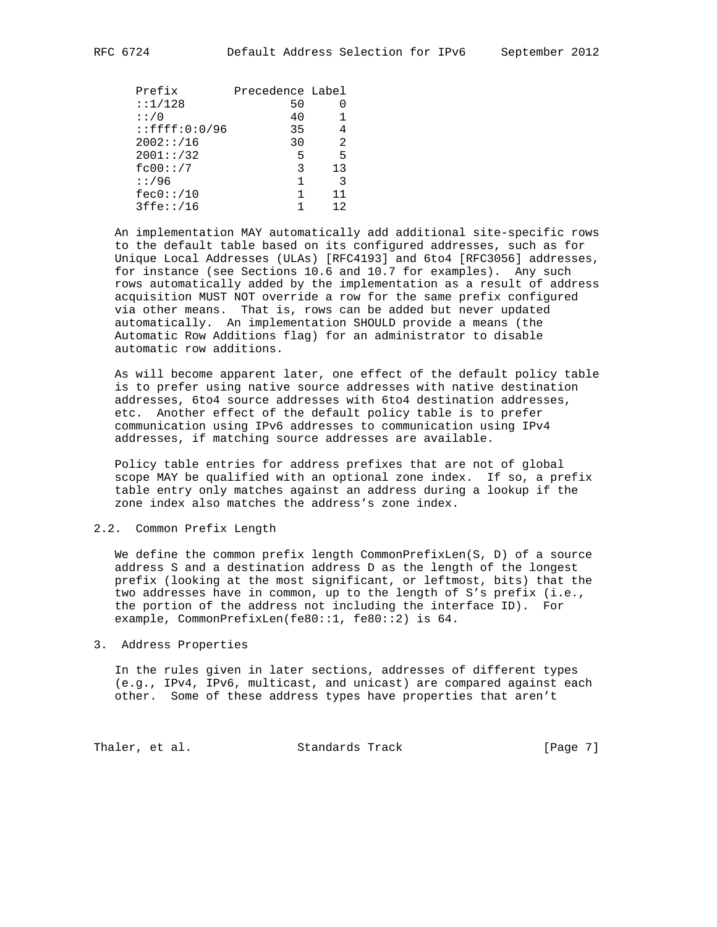| Prefix              | Precedence Label |    |
|---------------------|------------------|----|
| : 1/128             | 50               |    |
| : : / 0             | 40               |    |
| $:$ : $ffff:0:0/96$ | 35               | 4  |
| 2002::/16           | 30               | 2  |
| 2001::/32           | 5                | 5  |
| fc00::/7            | 3                | 13 |
| : 796               | 1                | 3  |
| fec0::/10           | 1                | 11 |
| 3ffe::/16           |                  | 12 |

 An implementation MAY automatically add additional site-specific rows to the default table based on its configured addresses, such as for Unique Local Addresses (ULAs) [RFC4193] and 6to4 [RFC3056] addresses, for instance (see Sections 10.6 and 10.7 for examples). Any such rows automatically added by the implementation as a result of address acquisition MUST NOT override a row for the same prefix configured via other means. That is, rows can be added but never updated automatically. An implementation SHOULD provide a means (the Automatic Row Additions flag) for an administrator to disable automatic row additions.

 As will become apparent later, one effect of the default policy table is to prefer using native source addresses with native destination addresses, 6to4 source addresses with 6to4 destination addresses, etc. Another effect of the default policy table is to prefer communication using IPv6 addresses to communication using IPv4 addresses, if matching source addresses are available.

 Policy table entries for address prefixes that are not of global scope MAY be qualified with an optional zone index. If so, a prefix table entry only matches against an address during a lookup if the zone index also matches the address's zone index.

## 2.2. Common Prefix Length

We define the common prefix length CommonPrefixLen(S, D) of a source address S and a destination address D as the length of the longest prefix (looking at the most significant, or leftmost, bits) that the two addresses have in common, up to the length of S's prefix (i.e., the portion of the address not including the interface ID). For example, CommonPrefixLen(fe80::1, fe80::2) is 64.

3. Address Properties

 In the rules given in later sections, addresses of different types (e.g., IPv4, IPv6, multicast, and unicast) are compared against each other. Some of these address types have properties that aren't

Thaler, et al. Standards Track [Page 7]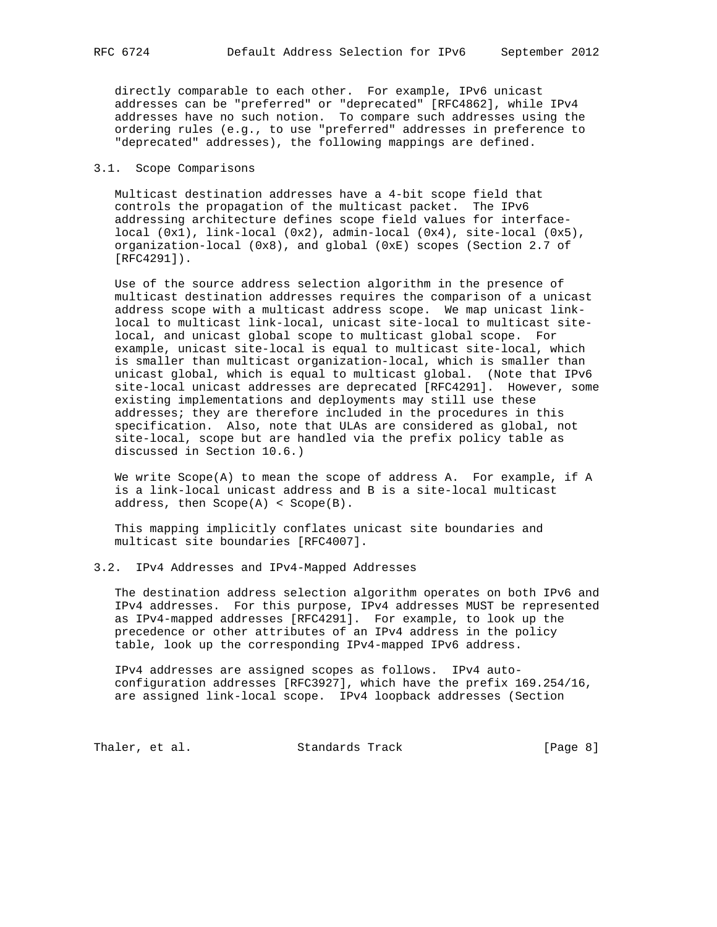directly comparable to each other. For example, IPv6 unicast addresses can be "preferred" or "deprecated" [RFC4862], while IPv4 addresses have no such notion. To compare such addresses using the ordering rules (e.g., to use "preferred" addresses in preference to "deprecated" addresses), the following mappings are defined.

#### 3.1. Scope Comparisons

 Multicast destination addresses have a 4-bit scope field that controls the propagation of the multicast packet. The IPv6 addressing architecture defines scope field values for interface local (0x1), link-local (0x2), admin-local (0x4), site-local (0x5), organization-local (0x8), and global (0xE) scopes (Section 2.7 of [RFC4291]).

 Use of the source address selection algorithm in the presence of multicast destination addresses requires the comparison of a unicast address scope with a multicast address scope. We map unicast link local to multicast link-local, unicast site-local to multicast site local, and unicast global scope to multicast global scope. For example, unicast site-local is equal to multicast site-local, which is smaller than multicast organization-local, which is smaller than unicast global, which is equal to multicast global. (Note that IPv6 site-local unicast addresses are deprecated [RFC4291]. However, some existing implementations and deployments may still use these addresses; they are therefore included in the procedures in this specification. Also, note that ULAs are considered as global, not site-local, scope but are handled via the prefix policy table as discussed in Section 10.6.)

 We write Scope(A) to mean the scope of address A. For example, if A is a link-local unicast address and B is a site-local multicast address, then Scope(A) < Scope(B).

 This mapping implicitly conflates unicast site boundaries and multicast site boundaries [RFC4007].

## 3.2. IPv4 Addresses and IPv4-Mapped Addresses

 The destination address selection algorithm operates on both IPv6 and IPv4 addresses. For this purpose, IPv4 addresses MUST be represented as IPv4-mapped addresses [RFC4291]. For example, to look up the precedence or other attributes of an IPv4 address in the policy table, look up the corresponding IPv4-mapped IPv6 address.

 IPv4 addresses are assigned scopes as follows. IPv4 auto configuration addresses [RFC3927], which have the prefix 169.254/16, are assigned link-local scope. IPv4 loopback addresses (Section

Thaler, et al. Standards Track [Page 8]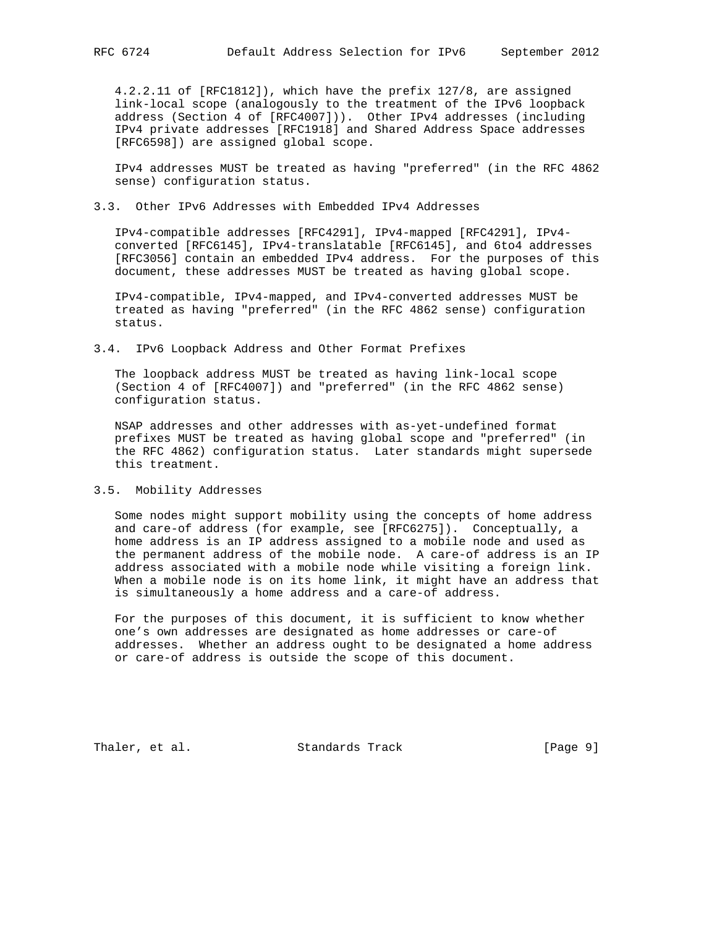4.2.2.11 of [RFC1812]), which have the prefix 127/8, are assigned link-local scope (analogously to the treatment of the IPv6 loopback address (Section 4 of [RFC4007])). Other IPv4 addresses (including IPv4 private addresses [RFC1918] and Shared Address Space addresses [RFC6598]) are assigned global scope.

 IPv4 addresses MUST be treated as having "preferred" (in the RFC 4862 sense) configuration status.

## 3.3. Other IPv6 Addresses with Embedded IPv4 Addresses

 IPv4-compatible addresses [RFC4291], IPv4-mapped [RFC4291], IPv4 converted [RFC6145], IPv4-translatable [RFC6145], and 6to4 addresses [RFC3056] contain an embedded IPv4 address. For the purposes of this document, these addresses MUST be treated as having global scope.

 IPv4-compatible, IPv4-mapped, and IPv4-converted addresses MUST be treated as having "preferred" (in the RFC 4862 sense) configuration status.

3.4. IPv6 Loopback Address and Other Format Prefixes

 The loopback address MUST be treated as having link-local scope (Section 4 of [RFC4007]) and "preferred" (in the RFC 4862 sense) configuration status.

 NSAP addresses and other addresses with as-yet-undefined format prefixes MUST be treated as having global scope and "preferred" (in the RFC 4862) configuration status. Later standards might supersede this treatment.

#### 3.5. Mobility Addresses

 Some nodes might support mobility using the concepts of home address and care-of address (for example, see [RFC6275]). Conceptually, a home address is an IP address assigned to a mobile node and used as the permanent address of the mobile node. A care-of address is an IP address associated with a mobile node while visiting a foreign link. When a mobile node is on its home link, it might have an address that is simultaneously a home address and a care-of address.

 For the purposes of this document, it is sufficient to know whether one's own addresses are designated as home addresses or care-of addresses. Whether an address ought to be designated a home address or care-of address is outside the scope of this document.

Thaler, et al. Standards Track [Page 9]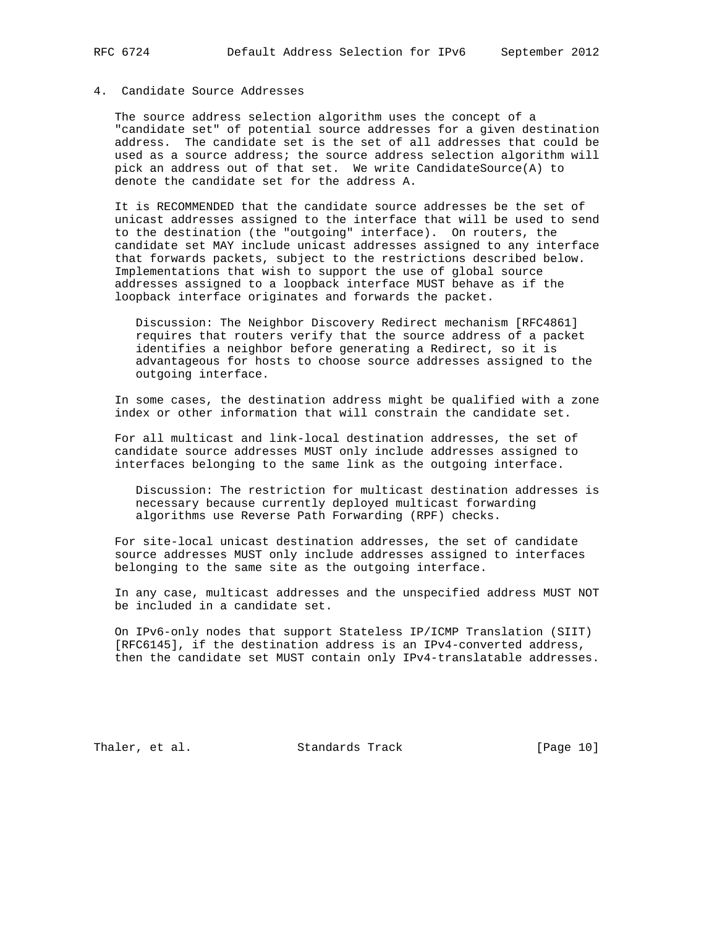# 4. Candidate Source Addresses

 The source address selection algorithm uses the concept of a "candidate set" of potential source addresses for a given destination address. The candidate set is the set of all addresses that could be used as a source address; the source address selection algorithm will pick an address out of that set. We write CandidateSource(A) to denote the candidate set for the address A.

 It is RECOMMENDED that the candidate source addresses be the set of unicast addresses assigned to the interface that will be used to send to the destination (the "outgoing" interface). On routers, the candidate set MAY include unicast addresses assigned to any interface that forwards packets, subject to the restrictions described below. Implementations that wish to support the use of global source addresses assigned to a loopback interface MUST behave as if the loopback interface originates and forwards the packet.

 Discussion: The Neighbor Discovery Redirect mechanism [RFC4861] requires that routers verify that the source address of a packet identifies a neighbor before generating a Redirect, so it is advantageous for hosts to choose source addresses assigned to the outgoing interface.

 In some cases, the destination address might be qualified with a zone index or other information that will constrain the candidate set.

 For all multicast and link-local destination addresses, the set of candidate source addresses MUST only include addresses assigned to interfaces belonging to the same link as the outgoing interface.

 Discussion: The restriction for multicast destination addresses is necessary because currently deployed multicast forwarding algorithms use Reverse Path Forwarding (RPF) checks.

 For site-local unicast destination addresses, the set of candidate source addresses MUST only include addresses assigned to interfaces belonging to the same site as the outgoing interface.

 In any case, multicast addresses and the unspecified address MUST NOT be included in a candidate set.

 On IPv6-only nodes that support Stateless IP/ICMP Translation (SIIT) [RFC6145], if the destination address is an IPv4-converted address, then the candidate set MUST contain only IPv4-translatable addresses.

Thaler, et al. Standards Track [Page 10]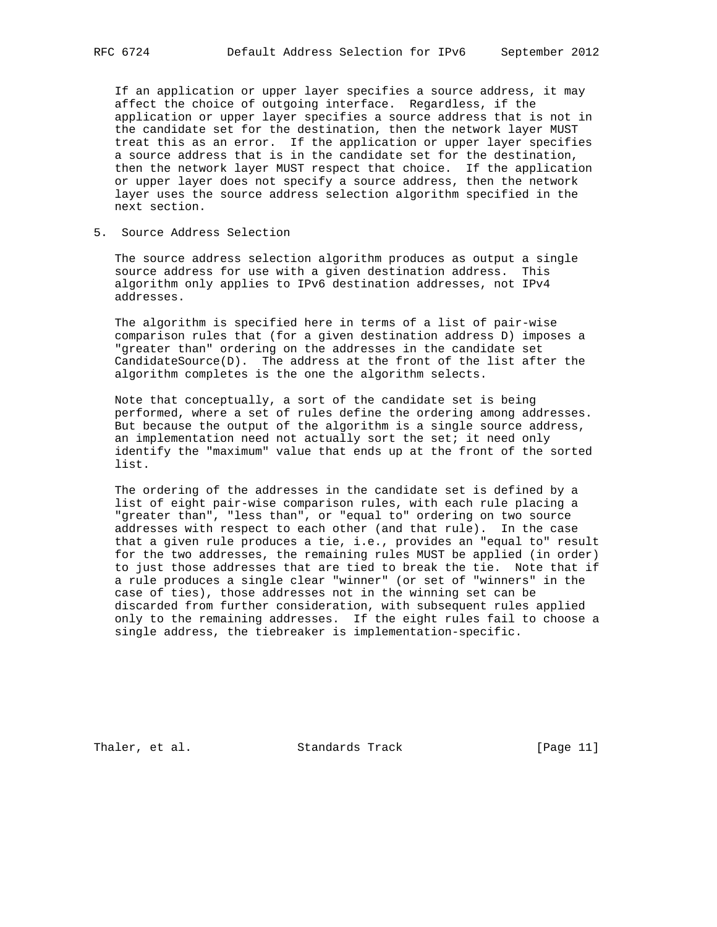If an application or upper layer specifies a source address, it may affect the choice of outgoing interface. Regardless, if the application or upper layer specifies a source address that is not in the candidate set for the destination, then the network layer MUST treat this as an error. If the application or upper layer specifies a source address that is in the candidate set for the destination, then the network layer MUST respect that choice. If the application or upper layer does not specify a source address, then the network layer uses the source address selection algorithm specified in the next section.

5. Source Address Selection

 The source address selection algorithm produces as output a single source address for use with a given destination address. This algorithm only applies to IPv6 destination addresses, not IPv4 addresses.

 The algorithm is specified here in terms of a list of pair-wise comparison rules that (for a given destination address D) imposes a "greater than" ordering on the addresses in the candidate set CandidateSource(D). The address at the front of the list after the algorithm completes is the one the algorithm selects.

 Note that conceptually, a sort of the candidate set is being performed, where a set of rules define the ordering among addresses. But because the output of the algorithm is a single source address, an implementation need not actually sort the set; it need only identify the "maximum" value that ends up at the front of the sorted list.

 The ordering of the addresses in the candidate set is defined by a list of eight pair-wise comparison rules, with each rule placing a "greater than", "less than", or "equal to" ordering on two source addresses with respect to each other (and that rule). In the case that a given rule produces a tie, i.e., provides an "equal to" result for the two addresses, the remaining rules MUST be applied (in order) to just those addresses that are tied to break the tie. Note that if a rule produces a single clear "winner" (or set of "winners" in the case of ties), those addresses not in the winning set can be discarded from further consideration, with subsequent rules applied only to the remaining addresses. If the eight rules fail to choose a single address, the tiebreaker is implementation-specific.

Thaler, et al. Standards Track [Page 11]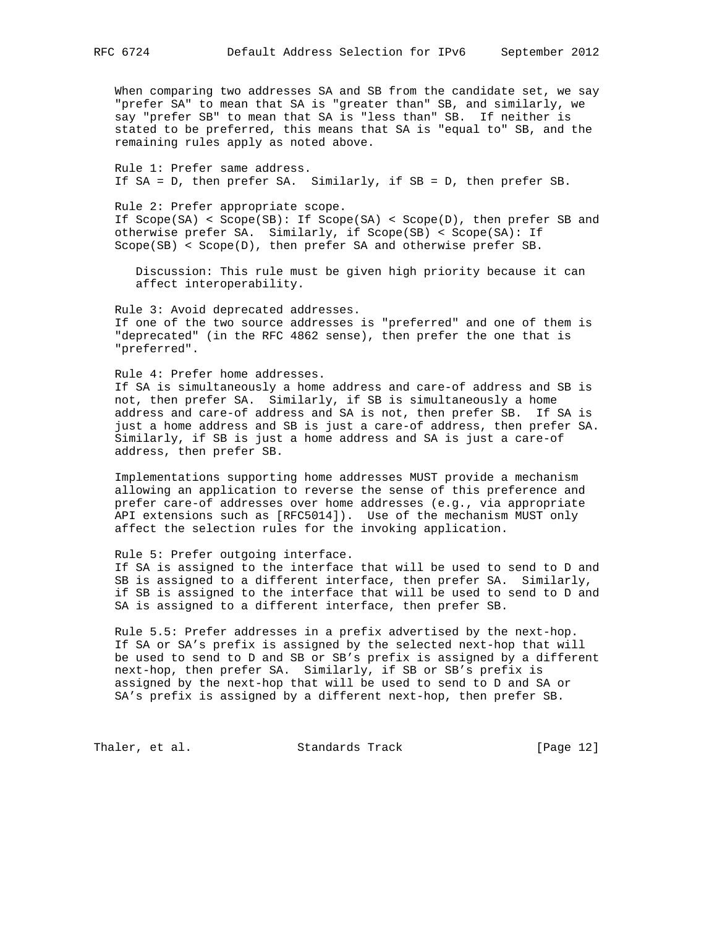When comparing two addresses SA and SB from the candidate set, we say "prefer SA" to mean that SA is "greater than" SB, and similarly, we say "prefer SB" to mean that SA is "less than" SB. If neither is stated to be preferred, this means that SA is "equal to" SB, and the remaining rules apply as noted above.

 Rule 1: Prefer same address. If SA = D, then prefer SA. Similarly, if SB = D, then prefer SB.

 Rule 2: Prefer appropriate scope. If Scope(SA) < Scope(SB): If Scope(SA) < Scope(D), then prefer SB and otherwise prefer SA. Similarly, if Scope(SB) < Scope(SA): If Scope(SB) < Scope(D), then prefer SA and otherwise prefer SB.

 Discussion: This rule must be given high priority because it can affect interoperability.

 Rule 3: Avoid deprecated addresses. If one of the two source addresses is "preferred" and one of them is "deprecated" (in the RFC 4862 sense), then prefer the one that is "preferred".

 Rule 4: Prefer home addresses. If SA is simultaneously a home address and care-of address and SB is not, then prefer SA. Similarly, if SB is simultaneously a home address and care-of address and SA is not, then prefer SB. If SA is just a home address and SB is just a care-of address, then prefer SA. Similarly, if SB is just a home address and SA is just a care-of address, then prefer SB.

 Implementations supporting home addresses MUST provide a mechanism allowing an application to reverse the sense of this preference and prefer care-of addresses over home addresses (e.g., via appropriate API extensions such as [RFC5014]). Use of the mechanism MUST only affect the selection rules for the invoking application.

 Rule 5: Prefer outgoing interface. If SA is assigned to the interface that will be used to send to D and SB is assigned to a different interface, then prefer SA. Similarly, if SB is assigned to the interface that will be used to send to D and SA is assigned to a different interface, then prefer SB.

 Rule 5.5: Prefer addresses in a prefix advertised by the next-hop. If SA or SA's prefix is assigned by the selected next-hop that will be used to send to D and SB or SB's prefix is assigned by a different next-hop, then prefer SA. Similarly, if SB or SB's prefix is assigned by the next-hop that will be used to send to D and SA or SA's prefix is assigned by a different next-hop, then prefer SB.

Thaler, et al. Standards Track [Page 12]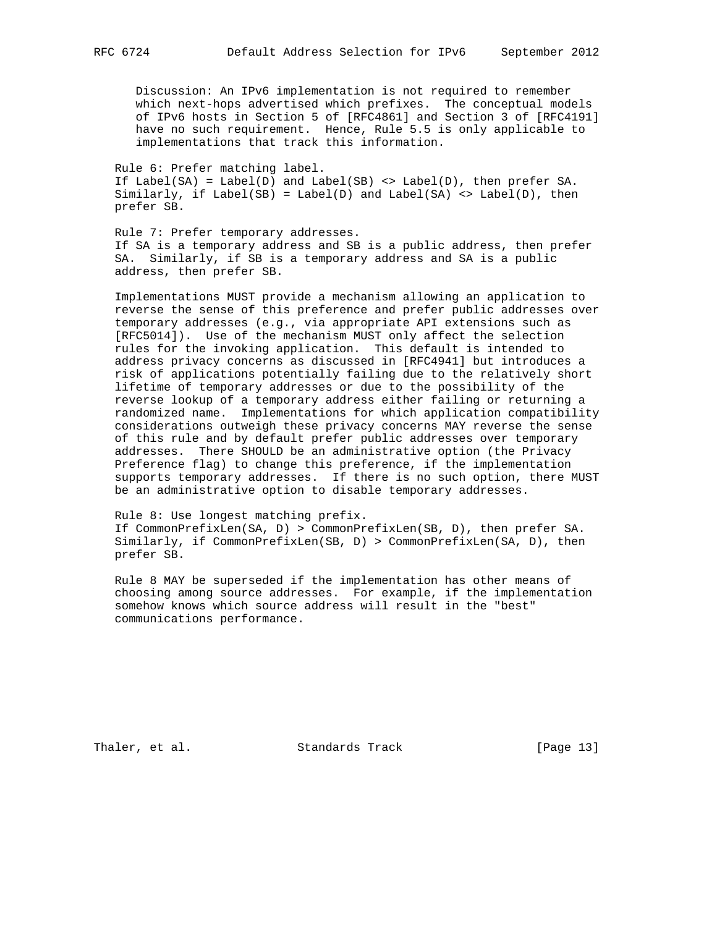Discussion: An IPv6 implementation is not required to remember which next-hops advertised which prefixes. The conceptual models of IPv6 hosts in Section 5 of [RFC4861] and Section 3 of [RFC4191] have no such requirement. Hence, Rule 5.5 is only applicable to implementations that track this information.

 Rule 6: Prefer matching label. If Label(SA) = Label(D) and Label(SB) <> Label(D), then prefer SA. Similarly, if  $Label(SB) = Label(D)$  and  $Label(SA) \Leftrightarrow Label(D)$ , then prefer SB.

 Rule 7: Prefer temporary addresses. If SA is a temporary address and SB is a public address, then prefer SA. Similarly, if SB is a temporary address and SA is a public address, then prefer SB.

 Implementations MUST provide a mechanism allowing an application to reverse the sense of this preference and prefer public addresses over temporary addresses (e.g., via appropriate API extensions such as [RFC5014]). Use of the mechanism MUST only affect the selection rules for the invoking application. This default is intended to address privacy concerns as discussed in [RFC4941] but introduces a risk of applications potentially failing due to the relatively short lifetime of temporary addresses or due to the possibility of the reverse lookup of a temporary address either failing or returning a randomized name. Implementations for which application compatibility considerations outweigh these privacy concerns MAY reverse the sense of this rule and by default prefer public addresses over temporary addresses. There SHOULD be an administrative option (the Privacy Preference flag) to change this preference, if the implementation supports temporary addresses. If there is no such option, there MUST be an administrative option to disable temporary addresses.

 Rule 8: Use longest matching prefix. If CommonPrefixLen(SA, D) > CommonPrefixLen(SB, D), then prefer SA. Similarly, if CommonPrefixLen(SB, D) > CommonPrefixLen(SA, D), then prefer SB.

 Rule 8 MAY be superseded if the implementation has other means of choosing among source addresses. For example, if the implementation somehow knows which source address will result in the "best" communications performance.

Thaler, et al. Standards Track [Page 13]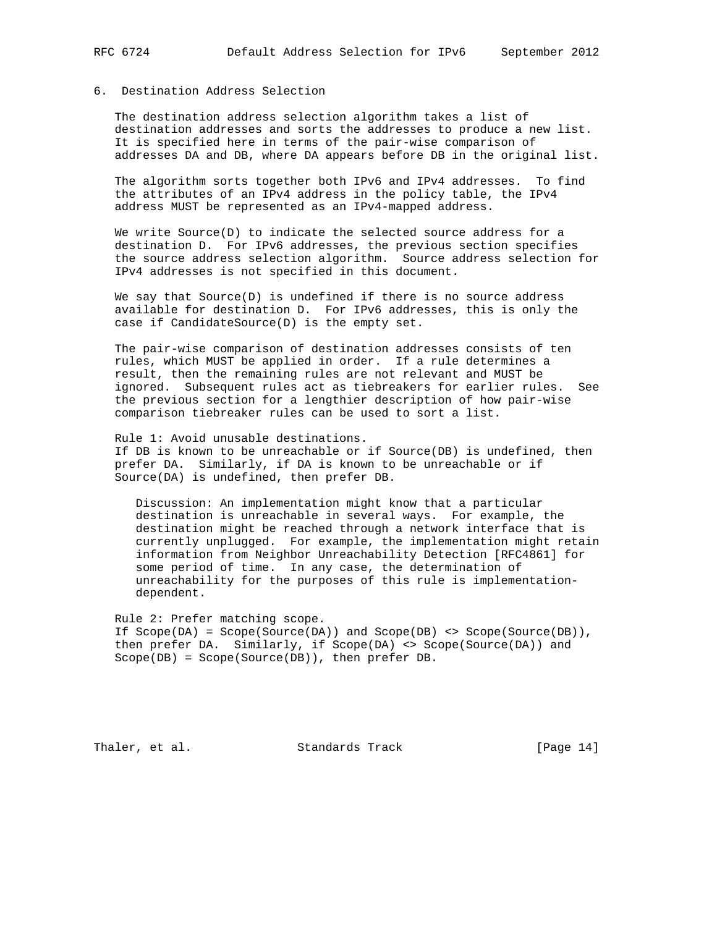# 6. Destination Address Selection

 The destination address selection algorithm takes a list of destination addresses and sorts the addresses to produce a new list. It is specified here in terms of the pair-wise comparison of addresses DA and DB, where DA appears before DB in the original list.

 The algorithm sorts together both IPv6 and IPv4 addresses. To find the attributes of an IPv4 address in the policy table, the IPv4 address MUST be represented as an IPv4-mapped address.

We write  $Source(D)$  to indicate the selected source address for a destination D. For IPv6 addresses, the previous section specifies the source address selection algorithm. Source address selection for IPv4 addresses is not specified in this document.

 We say that Source(D) is undefined if there is no source address available for destination D. For IPv6 addresses, this is only the case if CandidateSource(D) is the empty set.

 The pair-wise comparison of destination addresses consists of ten rules, which MUST be applied in order. If a rule determines a result, then the remaining rules are not relevant and MUST be ignored. Subsequent rules act as tiebreakers for earlier rules. See the previous section for a lengthier description of how pair-wise comparison tiebreaker rules can be used to sort a list.

 Rule 1: Avoid unusable destinations. If DB is known to be unreachable or if Source(DB) is undefined, then prefer DA. Similarly, if DA is known to be unreachable or if Source(DA) is undefined, then prefer DB.

 Discussion: An implementation might know that a particular destination is unreachable in several ways. For example, the destination might be reached through a network interface that is currently unplugged. For example, the implementation might retain information from Neighbor Unreachability Detection [RFC4861] for some period of time. In any case, the determination of unreachability for the purposes of this rule is implementation dependent.

 Rule 2: Prefer matching scope. If Scope(DA) = Scope(Source(DA)) and Scope(DB) <> Scope(Source(DB)), then prefer DA. Similarly, if Scope(DA) <> Scope(Source(DA)) and Scope(DB) = Scope(Source(DB)), then prefer DB.

Thaler, et al. Standards Track [Page 14]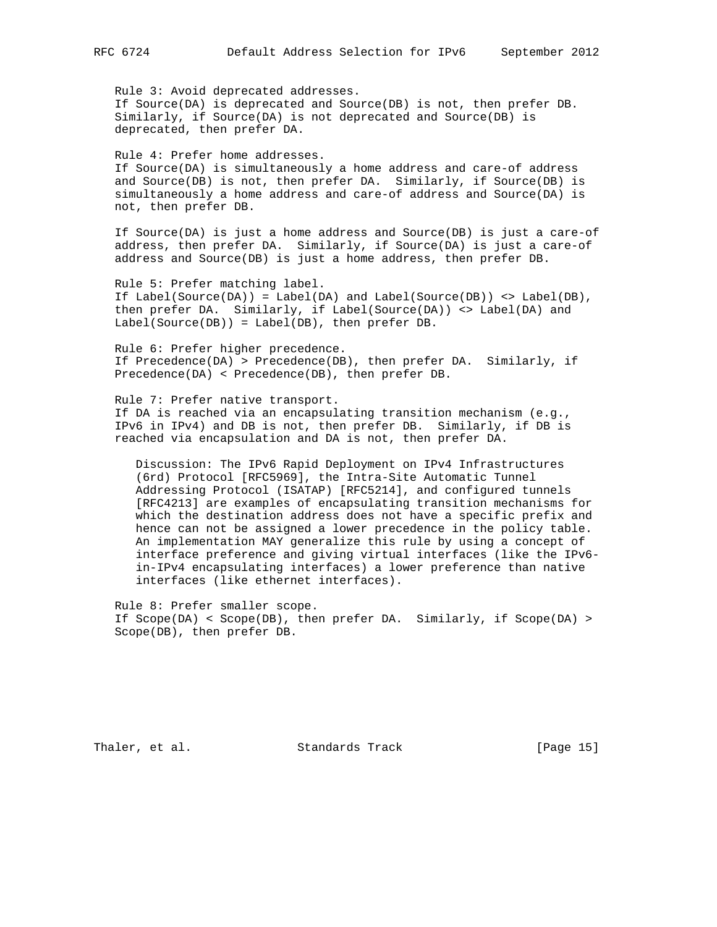Rule 3: Avoid deprecated addresses. If Source(DA) is deprecated and Source(DB) is not, then prefer DB. Similarly, if Source(DA) is not deprecated and Source(DB) is deprecated, then prefer DA.

 Rule 4: Prefer home addresses. If Source(DA) is simultaneously a home address and care-of address and Source(DB) is not, then prefer DA. Similarly, if Source(DB) is simultaneously a home address and care-of address and Source(DA) is not, then prefer DB.

 If Source(DA) is just a home address and Source(DB) is just a care-of address, then prefer DA. Similarly, if Source(DA) is just a care-of address and Source(DB) is just a home address, then prefer DB.

 Rule 5: Prefer matching label. If Label(Source(DA)) = Label(DA) and Label(Source(DB)) <> Label(DB), then prefer DA. Similarly, if Label(Source(DA)) <> Label(DA) and Label(Source(DB)) = Label(DB), then prefer DB.

 Rule 6: Prefer higher precedence. If Precedence(DA) > Precedence(DB), then prefer DA. Similarly, if Precedence(DA) < Precedence(DB), then prefer DB.

 Rule 7: Prefer native transport. If DA is reached via an encapsulating transition mechanism (e.g., IPv6 in IPv4) and DB is not, then prefer DB. Similarly, if DB is reached via encapsulation and DA is not, then prefer DA.

 Discussion: The IPv6 Rapid Deployment on IPv4 Infrastructures (6rd) Protocol [RFC5969], the Intra-Site Automatic Tunnel Addressing Protocol (ISATAP) [RFC5214], and configured tunnels [RFC4213] are examples of encapsulating transition mechanisms for which the destination address does not have a specific prefix and hence can not be assigned a lower precedence in the policy table. An implementation MAY generalize this rule by using a concept of interface preference and giving virtual interfaces (like the IPv6 in-IPv4 encapsulating interfaces) a lower preference than native interfaces (like ethernet interfaces).

 Rule 8: Prefer smaller scope. If Scope(DA) < Scope(DB), then prefer DA. Similarly, if Scope(DA) > Scope(DB), then prefer DB.

Thaler, et al. Standards Track [Page 15]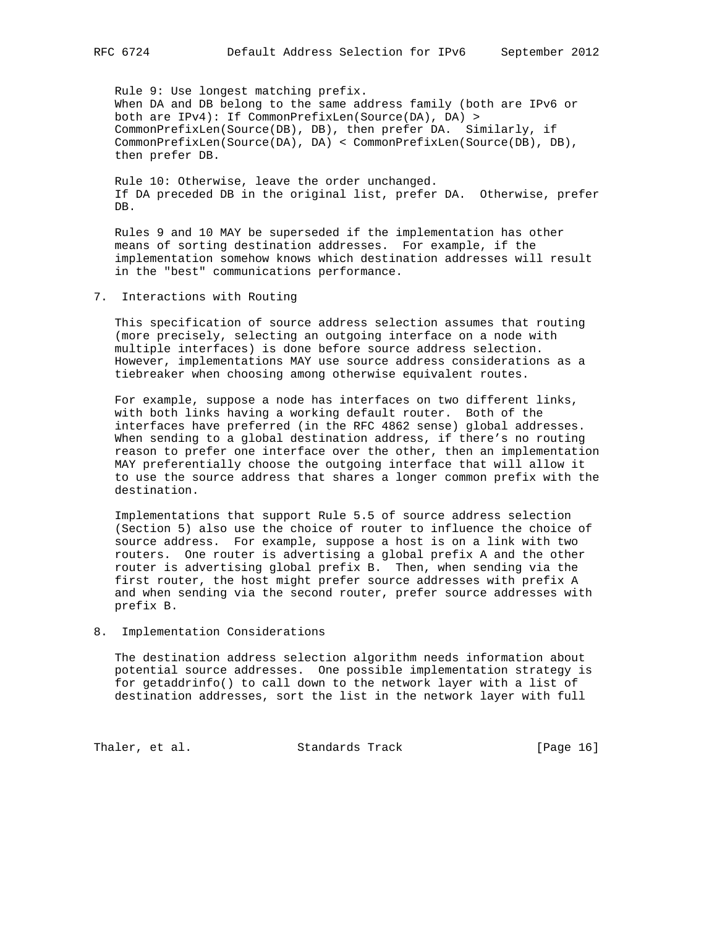Rule 9: Use longest matching prefix. When DA and DB belong to the same address family (both are IPv6 or both are IPv4): If CommonPrefixLen(Source(DA), DA) > CommonPrefixLen(Source(DB), DB), then prefer DA. Similarly, if CommonPrefixLen(Source(DA), DA) < CommonPrefixLen(Source(DB), DB), then prefer DB.

 Rule 10: Otherwise, leave the order unchanged. If DA preceded DB in the original list, prefer DA. Otherwise, prefer DB.

 Rules 9 and 10 MAY be superseded if the implementation has other means of sorting destination addresses. For example, if the implementation somehow knows which destination addresses will result in the "best" communications performance.

7. Interactions with Routing

 This specification of source address selection assumes that routing (more precisely, selecting an outgoing interface on a node with multiple interfaces) is done before source address selection. However, implementations MAY use source address considerations as a tiebreaker when choosing among otherwise equivalent routes.

 For example, suppose a node has interfaces on two different links, with both links having a working default router. Both of the interfaces have preferred (in the RFC 4862 sense) global addresses. When sending to a global destination address, if there's no routing reason to prefer one interface over the other, then an implementation MAY preferentially choose the outgoing interface that will allow it to use the source address that shares a longer common prefix with the destination.

 Implementations that support Rule 5.5 of source address selection (Section 5) also use the choice of router to influence the choice of source address. For example, suppose a host is on a link with two routers. One router is advertising a global prefix A and the other router is advertising global prefix B. Then, when sending via the first router, the host might prefer source addresses with prefix A and when sending via the second router, prefer source addresses with prefix B.

8. Implementation Considerations

 The destination address selection algorithm needs information about potential source addresses. One possible implementation strategy is for getaddrinfo() to call down to the network layer with a list of destination addresses, sort the list in the network layer with full

Thaler, et al. Standards Track [Page 16]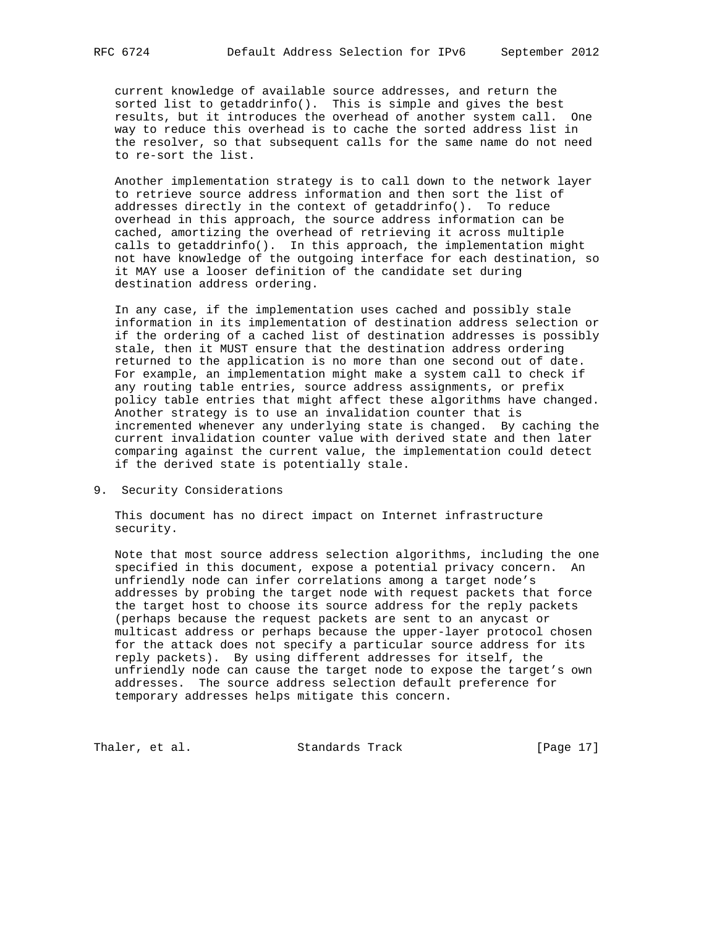current knowledge of available source addresses, and return the sorted list to getaddrinfo(). This is simple and gives the best results, but it introduces the overhead of another system call. One way to reduce this overhead is to cache the sorted address list in the resolver, so that subsequent calls for the same name do not need to re-sort the list.

 Another implementation strategy is to call down to the network layer to retrieve source address information and then sort the list of addresses directly in the context of getaddrinfo(). To reduce overhead in this approach, the source address information can be cached, amortizing the overhead of retrieving it across multiple calls to getaddrinfo(). In this approach, the implementation might not have knowledge of the outgoing interface for each destination, so it MAY use a looser definition of the candidate set during destination address ordering.

 In any case, if the implementation uses cached and possibly stale information in its implementation of destination address selection or if the ordering of a cached list of destination addresses is possibly stale, then it MUST ensure that the destination address ordering returned to the application is no more than one second out of date. For example, an implementation might make a system call to check if any routing table entries, source address assignments, or prefix policy table entries that might affect these algorithms have changed. Another strategy is to use an invalidation counter that is incremented whenever any underlying state is changed. By caching the current invalidation counter value with derived state and then later comparing against the current value, the implementation could detect if the derived state is potentially stale.

9. Security Considerations

 This document has no direct impact on Internet infrastructure security.

 Note that most source address selection algorithms, including the one specified in this document, expose a potential privacy concern. An unfriendly node can infer correlations among a target node's addresses by probing the target node with request packets that force the target host to choose its source address for the reply packets (perhaps because the request packets are sent to an anycast or multicast address or perhaps because the upper-layer protocol chosen for the attack does not specify a particular source address for its reply packets). By using different addresses for itself, the unfriendly node can cause the target node to expose the target's own addresses. The source address selection default preference for temporary addresses helps mitigate this concern.

Thaler, et al. Standards Track [Page 17]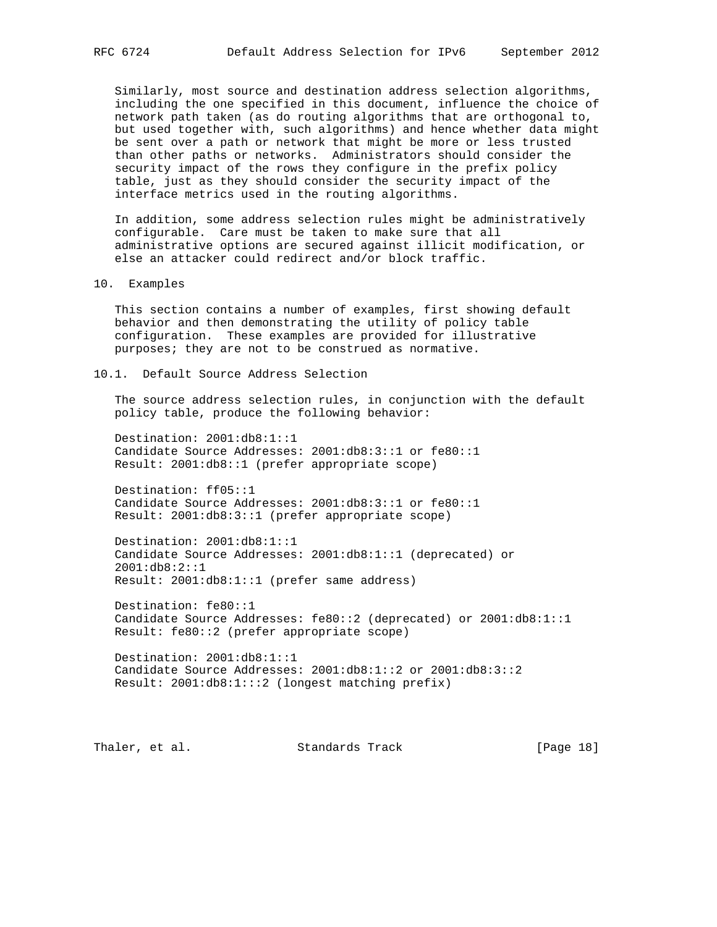Similarly, most source and destination address selection algorithms, including the one specified in this document, influence the choice of network path taken (as do routing algorithms that are orthogonal to, but used together with, such algorithms) and hence whether data might be sent over a path or network that might be more or less trusted than other paths or networks. Administrators should consider the security impact of the rows they configure in the prefix policy table, just as they should consider the security impact of the interface metrics used in the routing algorithms.

 In addition, some address selection rules might be administratively configurable. Care must be taken to make sure that all administrative options are secured against illicit modification, or else an attacker could redirect and/or block traffic.

10. Examples

 This section contains a number of examples, first showing default behavior and then demonstrating the utility of policy table configuration. These examples are provided for illustrative purposes; they are not to be construed as normative.

10.1. Default Source Address Selection

 The source address selection rules, in conjunction with the default policy table, produce the following behavior:

 Destination: 2001:db8:1::1 Candidate Source Addresses: 2001:db8:3::1 or fe80::1 Result: 2001:db8::1 (prefer appropriate scope)

 Destination: ff05::1 Candidate Source Addresses: 2001:db8:3::1 or fe80::1 Result: 2001:db8:3::1 (prefer appropriate scope)

 Destination: 2001:db8:1::1 Candidate Source Addresses: 2001:db8:1::1 (deprecated) or 2001:db8:2::1 Result: 2001:db8:1::1 (prefer same address)

 Destination: fe80::1 Candidate Source Addresses: fe80::2 (deprecated) or 2001:db8:1::1 Result: fe80::2 (prefer appropriate scope)

 Destination: 2001:db8:1::1 Candidate Source Addresses: 2001:db8:1::2 or 2001:db8:3::2 Result: 2001:db8:1:::2 (longest matching prefix)

Thaler, et al. Standards Track [Page 18]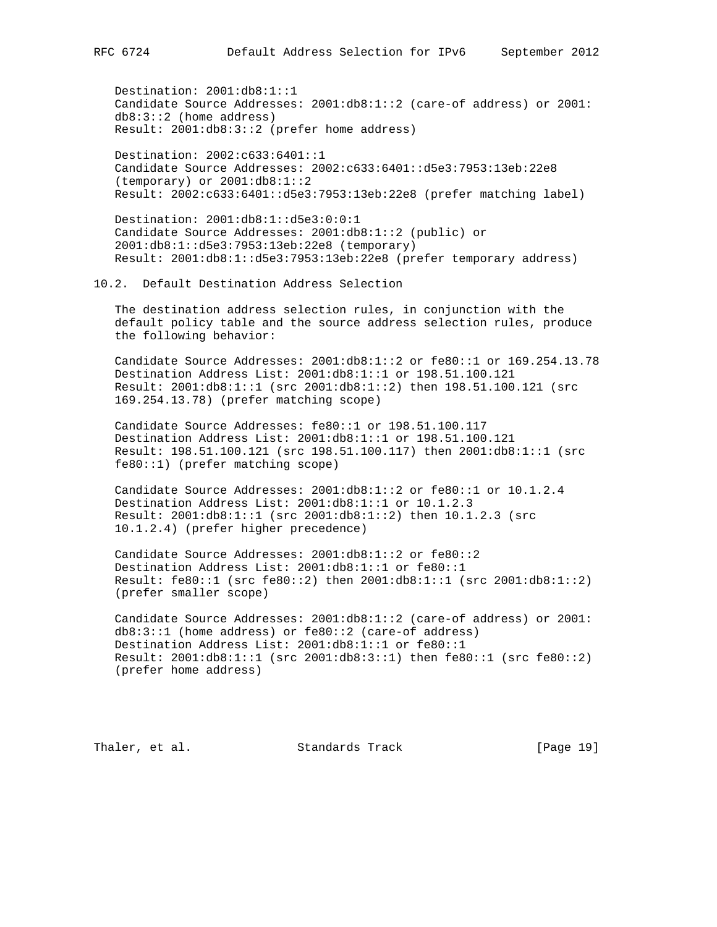Destination: 2001:db8:1::1 Candidate Source Addresses: 2001:db8:1::2 (care-of address) or 2001: db8:3::2 (home address) Result: 2001:db8:3::2 (prefer home address)

 Destination: 2002:c633:6401::1 Candidate Source Addresses: 2002:c633:6401::d5e3:7953:13eb:22e8 (temporary) or 2001:db8:1::2 Result: 2002:c633:6401::d5e3:7953:13eb:22e8 (prefer matching label)

 Destination: 2001:db8:1::d5e3:0:0:1 Candidate Source Addresses: 2001:db8:1::2 (public) or 2001:db8:1::d5e3:7953:13eb:22e8 (temporary) Result: 2001:db8:1::d5e3:7953:13eb:22e8 (prefer temporary address)

## 10.2. Default Destination Address Selection

 The destination address selection rules, in conjunction with the default policy table and the source address selection rules, produce the following behavior:

 Candidate Source Addresses: 2001:db8:1::2 or fe80::1 or 169.254.13.78 Destination Address List: 2001:db8:1::1 or 198.51.100.121 Result: 2001:db8:1::1 (src 2001:db8:1::2) then 198.51.100.121 (src 169.254.13.78) (prefer matching scope)

 Candidate Source Addresses: fe80::1 or 198.51.100.117 Destination Address List: 2001:db8:1::1 or 198.51.100.121 Result: 198.51.100.121 (src 198.51.100.117) then 2001:db8:1::1 (src fe80::1) (prefer matching scope)

 Candidate Source Addresses: 2001:db8:1::2 or fe80::1 or 10.1.2.4 Destination Address List: 2001:db8:1::1 or 10.1.2.3 Result: 2001:db8:1::1 (src 2001:db8:1::2) then 10.1.2.3 (src 10.1.2.4) (prefer higher precedence)

 Candidate Source Addresses: 2001:db8:1::2 or fe80::2 Destination Address List: 2001:db8:1::1 or fe80::1 Result: fe80::1 (src fe80::2) then 2001:db8:1::1 (src 2001:db8:1::2) (prefer smaller scope)

 Candidate Source Addresses: 2001:db8:1::2 (care-of address) or 2001: db8:3::1 (home address) or fe80::2 (care-of address) Destination Address List: 2001:db8:1::1 or fe80::1 Result: 2001:db8:1::1 (src 2001:db8:3::1) then fe80::1 (src fe80::2) (prefer home address)

Thaler, et al. Standards Track [Page 19]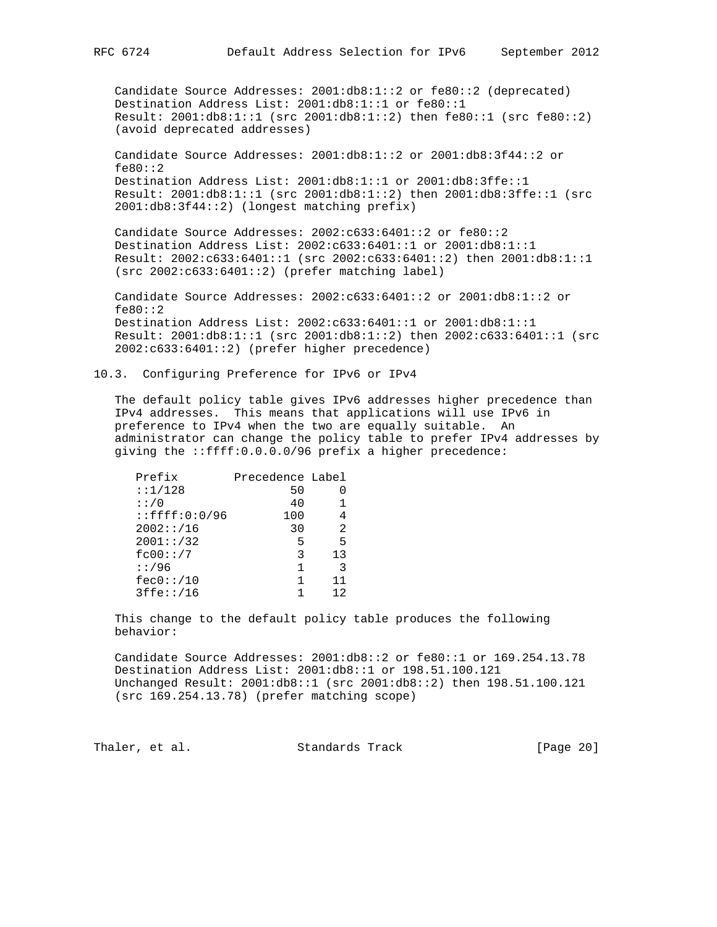Candidate Source Addresses: 2001:db8:1::2 or fe80::2 (deprecated) Destination Address List: 2001:db8:1::1 or fe80::1 Result: 2001:db8:1::1 (src 2001:db8:1::2) then fe80::1 (src fe80::2) (avoid deprecated addresses)

 Candidate Source Addresses: 2001:db8:1::2 or 2001:db8:3f44::2 or fe80::2 Destination Address List: 2001:db8:1::1 or 2001:db8:3ffe::1 Result: 2001:db8:1::1 (src 2001:db8:1::2) then 2001:db8:3ffe::1 (src 2001:db8:3f44::2) (longest matching prefix)

 Candidate Source Addresses: 2002:c633:6401::2 or fe80::2 Destination Address List: 2002:c633:6401::1 or 2001:db8:1::1 Result: 2002:c633:6401::1 (src 2002:c633:6401::2) then 2001:db8:1::1 (src 2002:c633:6401::2) (prefer matching label)

 Candidate Source Addresses: 2002:c633:6401::2 or 2001:db8:1::2 or fe80::2 Destination Address List: 2002:c633:6401::1 or 2001:db8:1::1 Result: 2001:db8:1::1 (src 2001:db8:1::2) then 2002:c633:6401::1 (src 2002:c633:6401::2) (prefer higher precedence)

10.3. Configuring Preference for IPv6 or IPv4

 The default policy table gives IPv6 addresses higher precedence than IPv4 addresses. This means that applications will use IPv6 in preference to IPv4 when the two are equally suitable. An administrator can change the policy table to prefer IPv4 addresses by giving the ::ffff:0.0.0.0/96 prefix a higher precedence:

| Prefix              | Precedence Label |    |
|---------------------|------------------|----|
| : 1/128             | 50               |    |
| : : / 0             | 40               |    |
| $:$ : $ffff:0:0/96$ | 100              |    |
| 2002::/16           | 30               | 2  |
| 2001::/32           | 5                | 5  |
| fc00::/7            | 3                | 13 |
| : 1/96              |                  | २  |
| fec0::/10           |                  | 11 |
| 3ffe::/16           |                  | 12 |

 This change to the default policy table produces the following behavior:

 Candidate Source Addresses: 2001:db8::2 or fe80::1 or 169.254.13.78 Destination Address List: 2001:db8::1 or 198.51.100.121 Unchanged Result: 2001:db8::1 (src 2001:db8::2) then 198.51.100.121 (src 169.254.13.78) (prefer matching scope)

Thaler, et al. Standards Track [Page 20]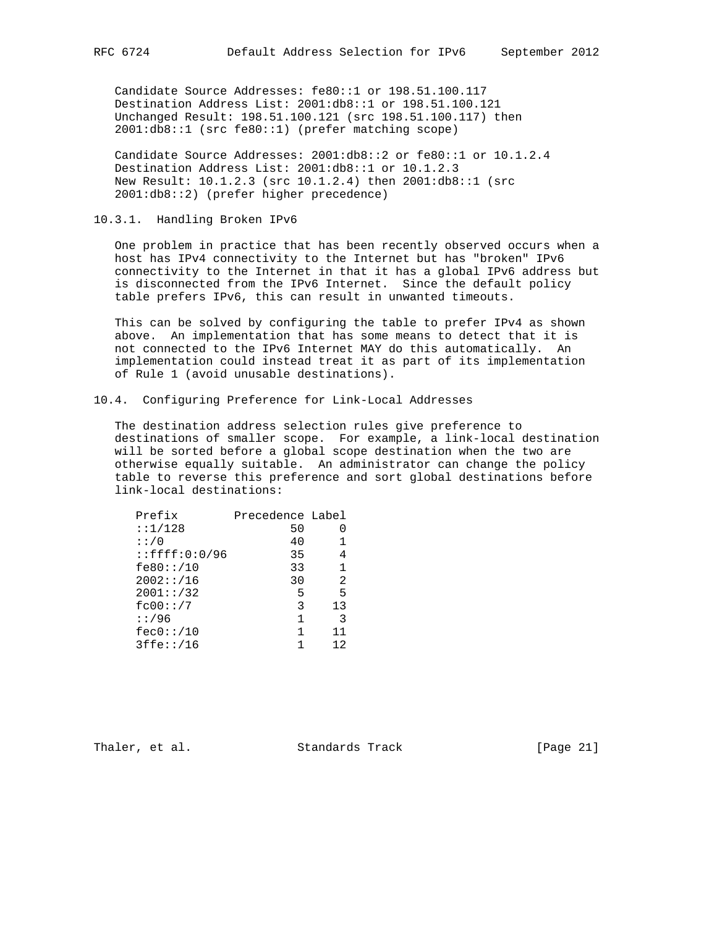Candidate Source Addresses: fe80::1 or 198.51.100.117 Destination Address List: 2001:db8::1 or 198.51.100.121 Unchanged Result: 198.51.100.121 (src 198.51.100.117) then 2001:db8::1 (src fe80::1) (prefer matching scope)

 Candidate Source Addresses: 2001:db8::2 or fe80::1 or 10.1.2.4 Destination Address List: 2001:db8::1 or 10.1.2.3 New Result: 10.1.2.3 (src 10.1.2.4) then 2001:db8::1 (src 2001:db8::2) (prefer higher precedence)

10.3.1. Handling Broken IPv6

 One problem in practice that has been recently observed occurs when a host has IPv4 connectivity to the Internet but has "broken" IPv6 connectivity to the Internet in that it has a global IPv6 address but is disconnected from the IPv6 Internet. Since the default policy table prefers IPv6, this can result in unwanted timeouts.

 This can be solved by configuring the table to prefer IPv4 as shown above. An implementation that has some means to detect that it is not connected to the IPv6 Internet MAY do this automatically. An implementation could instead treat it as part of its implementation of Rule 1 (avoid unusable destinations).

10.4. Configuring Preference for Link-Local Addresses

 The destination address selection rules give preference to destinations of smaller scope. For example, a link-local destination will be sorted before a global scope destination when the two are otherwise equally suitable. An administrator can change the policy table to reverse this preference and sort global destinations before link-local destinations:

| Prefix                  | Precedence Label |    |
|-------------------------|------------------|----|
| : 1/128                 | 50               |    |
| : : / 0                 | 40               |    |
| $: : \f{f}{f}: 0: 0/96$ | 35               |    |
| fe80::/10               | 33               | 1  |
| 2002::/16               | 30               | 2  |
| 2001::/32               | 5                | 5  |
| fc00::/7                | 3                | 13 |
| : 1/96                  | 1                | 3  |
| fec0::/10               | 1                | 11 |
| 3ffe::/16               |                  | 12 |

Thaler, et al. Standards Track [Page 21]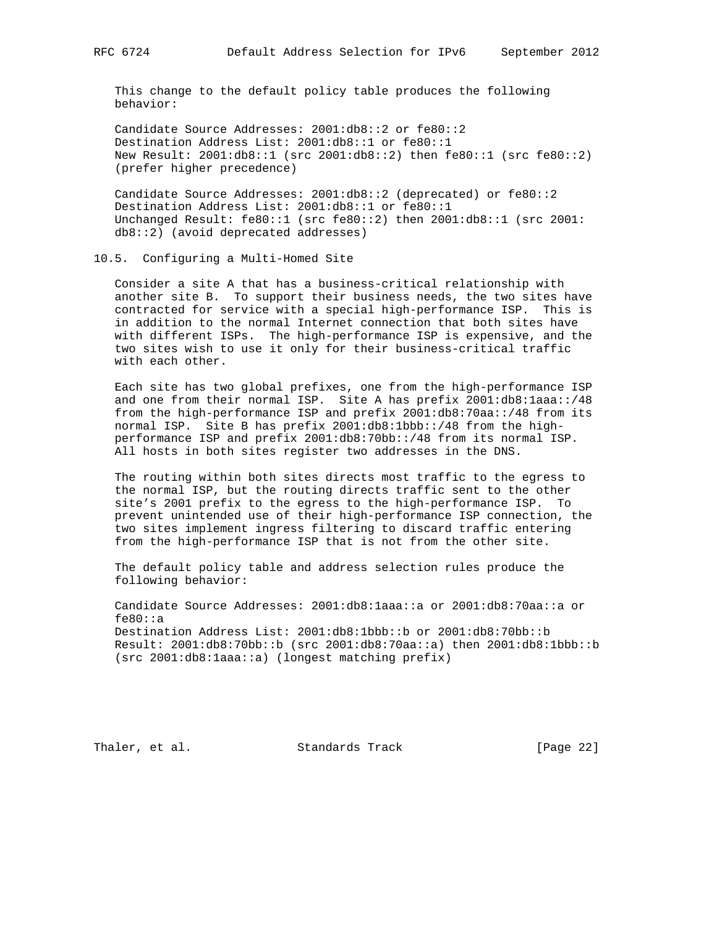This change to the default policy table produces the following behavior:

 Candidate Source Addresses: 2001:db8::2 or fe80::2 Destination Address List: 2001:db8::1 or fe80::1 New Result: 2001:db8::1 (src 2001:db8::2) then fe80::1 (src fe80::2) (prefer higher precedence)

 Candidate Source Addresses: 2001:db8::2 (deprecated) or fe80::2 Destination Address List: 2001:db8::1 or fe80::1 Unchanged Result: fe80::1 (src fe80::2) then 2001:db8::1 (src 2001: db8::2) (avoid deprecated addresses)

## 10.5. Configuring a Multi-Homed Site

 Consider a site A that has a business-critical relationship with another site B. To support their business needs, the two sites have contracted for service with a special high-performance ISP. This is in addition to the normal Internet connection that both sites have with different ISPs. The high-performance ISP is expensive, and the two sites wish to use it only for their business-critical traffic with each other.

 Each site has two global prefixes, one from the high-performance ISP and one from their normal ISP. Site A has prefix 2001:db8:1aaa::/48 from the high-performance ISP and prefix 2001:db8:70aa::/48 from its normal ISP. Site B has prefix 2001:db8:1bbb::/48 from the high performance ISP and prefix 2001:db8:70bb::/48 from its normal ISP. All hosts in both sites register two addresses in the DNS.

 The routing within both sites directs most traffic to the egress to the normal ISP, but the routing directs traffic sent to the other site's 2001 prefix to the egress to the high-performance ISP. To prevent unintended use of their high-performance ISP connection, the two sites implement ingress filtering to discard traffic entering from the high-performance ISP that is not from the other site.

 The default policy table and address selection rules produce the following behavior:

 Candidate Source Addresses: 2001:db8:1aaa::a or 2001:db8:70aa::a or fe80::a Destination Address List: 2001:db8:1bbb::b or 2001:db8:70bb::b Result: 2001:db8:70bb::b (src 2001:db8:70aa::a) then 2001:db8:1bbb::b (src 2001:db8:1aaa::a) (longest matching prefix)

Thaler, et al. Standards Track [Page 22]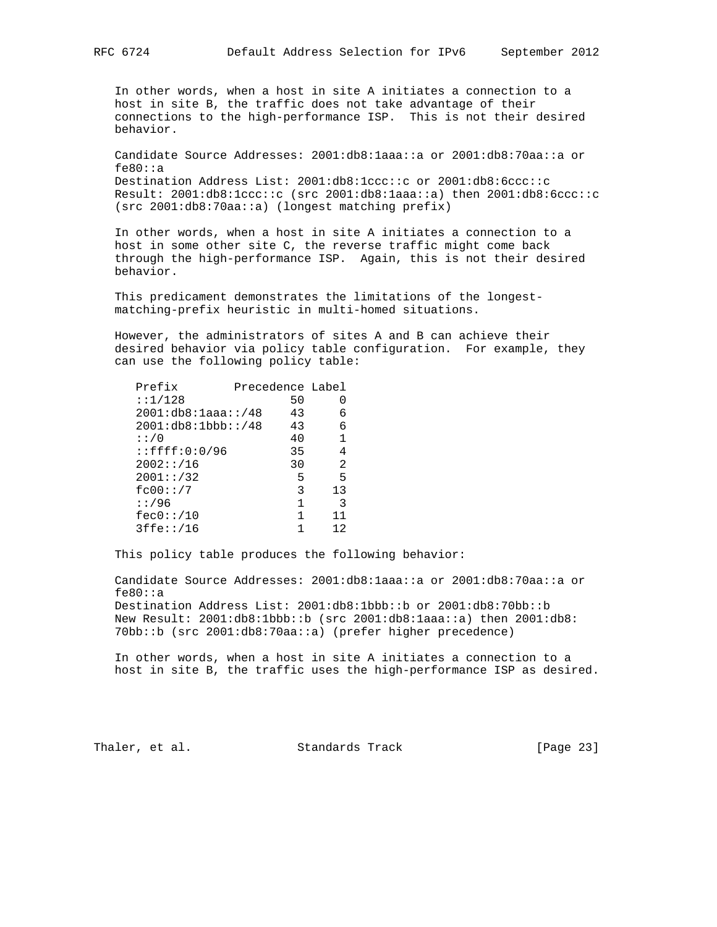In other words, when a host in site A initiates a connection to a host in site B, the traffic does not take advantage of their connections to the high-performance ISP. This is not their desired behavior.

 Candidate Source Addresses: 2001:db8:1aaa::a or 2001:db8:70aa::a or fe80::a Destination Address List: 2001:db8:1ccc::c or 2001:db8:6ccc::c Result: 2001:db8:1ccc::c (src 2001:db8:1aaa::a) then 2001:db8:6ccc::c (src 2001:db8:70aa::a) (longest matching prefix)

 In other words, when a host in site A initiates a connection to a host in some other site C, the reverse traffic might come back through the high-performance ISP. Again, this is not their desired behavior.

 This predicament demonstrates the limitations of the longest matching-prefix heuristic in multi-homed situations.

 However, the administrators of sites A and B can achieve their desired behavior via policy table configuration. For example, they can use the following policy table:

| Prefix                  | Precedence Label |    |
|-------------------------|------------------|----|
| : 1/128                 | 50               |    |
| 2001: db8: laaa:!/48    | 43               | 6  |
| 2001:db8:1bbb::/48      | 43               | 6  |
| : : / 0                 | 40               | 1  |
| $: : \f{f}{f}: 0: 0/96$ | 35               | 4  |
| 2002::/16               | 30               | 2  |
| 2001::/32               | 5                | 5  |
| fc00::/7                | 3                | 13 |
| : 1/96                  | 1                | 3  |
| fec0::/10               | 1                | 11 |
| 3ffe::/16               |                  | 12 |

This policy table produces the following behavior:

 Candidate Source Addresses: 2001:db8:1aaa::a or 2001:db8:70aa::a or fe80::a Destination Address List: 2001:db8:1bbb::b or 2001:db8:70bb::b New Result: 2001:db8:1bbb::b (src 2001:db8:1aaa::a) then 2001:db8: 70bb::b (src 2001:db8:70aa::a) (prefer higher precedence)

 In other words, when a host in site A initiates a connection to a host in site B, the traffic uses the high-performance ISP as desired.

Thaler, et al. Standards Track [Page 23]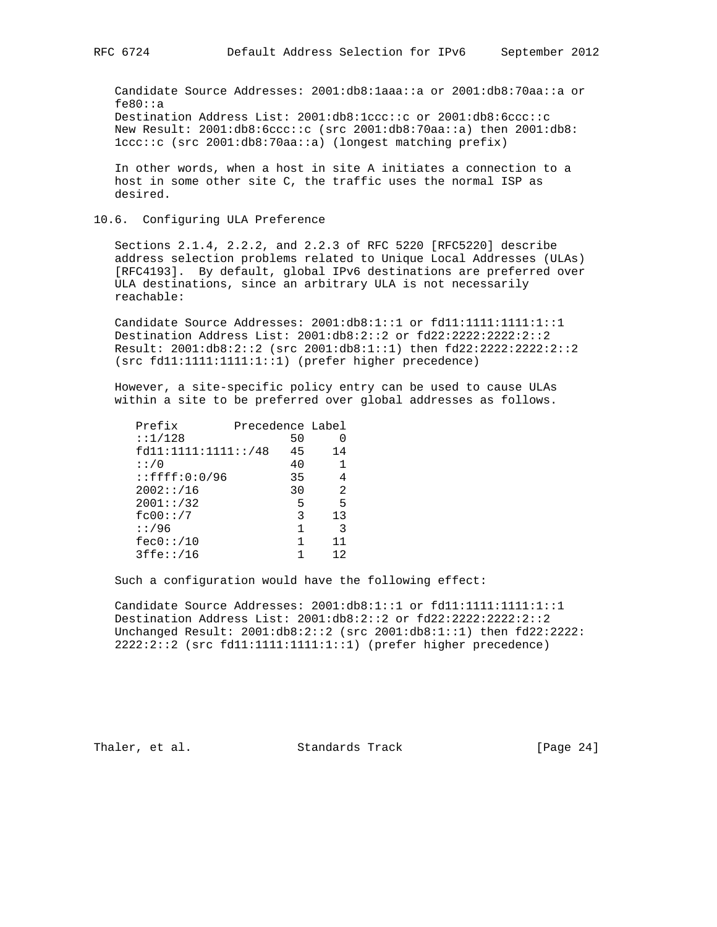Candidate Source Addresses: 2001:db8:1aaa::a or 2001:db8:70aa::a or fe80::a Destination Address List: 2001:db8:1ccc::c or 2001:db8:6ccc::c New Result: 2001:db8:6ccc::c (src 2001:db8:70aa::a) then 2001:db8: 1ccc::c (src 2001:db8:70aa::a) (longest matching prefix)

 In other words, when a host in site A initiates a connection to a host in some other site C, the traffic uses the normal ISP as desired.

#### 10.6. Configuring ULA Preference

 Sections 2.1.4, 2.2.2, and 2.2.3 of RFC 5220 [RFC5220] describe address selection problems related to Unique Local Addresses (ULAs) [RFC4193]. By default, global IPv6 destinations are preferred over ULA destinations, since an arbitrary ULA is not necessarily reachable:

 Candidate Source Addresses: 2001:db8:1::1 or fd11:1111:1111:1::1 Destination Address List: 2001:db8:2::2 or fd22:2222:2222:2::2 Result: 2001:db8:2::2 (src 2001:db8:1::1) then fd22:2222:2222:2::2 (src fd11:1111:1111:1::1) (prefer higher precedence)

 However, a site-specific policy entry can be used to cause ULAs within a site to be preferred over global addresses as follows.

| 50 |                                         |
|----|-----------------------------------------|
| 45 | 14                                      |
| 40 |                                         |
| 35 | 4                                       |
| 30 | 2                                       |
| 5  | 5                                       |
| 3  | 13                                      |
| 1  | २                                       |
| 1  | 11                                      |
|    | 12                                      |
|    | Precedence Label<br>fd11:1111:1111::/48 |

Such a configuration would have the following effect:

 Candidate Source Addresses: 2001:db8:1::1 or fd11:1111:1111:1::1 Destination Address List: 2001:db8:2::2 or fd22:2222:2222:2::2 Unchanged Result: 2001:db8:2::2 (src 2001:db8:1::1) then fd22:2222: 2222:2::2 (src fd11:1111:1111:1::1) (prefer higher precedence)

Thaler, et al. Standards Track [Page 24]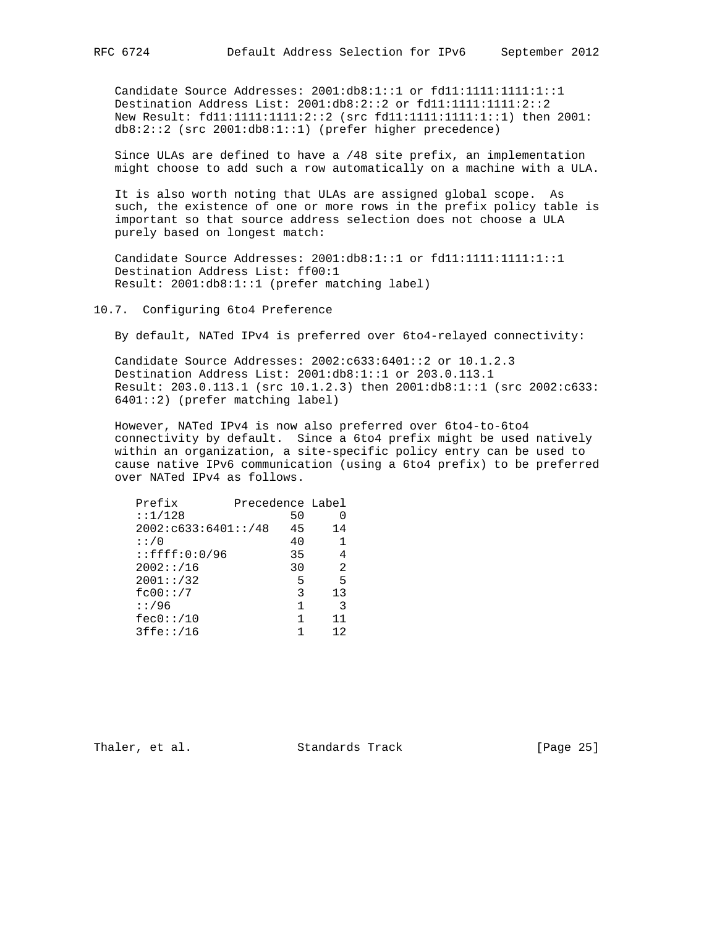Candidate Source Addresses: 2001:db8:1::1 or fd11:1111:1111:1::1 Destination Address List: 2001:db8:2::2 or fd11:1111:1111:2::2 New Result: fd11:1111:1111:2::2 (src fd11:1111:1111:1::1) then 2001: db8:2::2 (src 2001:db8:1::1) (prefer higher precedence)

 Since ULAs are defined to have a /48 site prefix, an implementation might choose to add such a row automatically on a machine with a ULA.

 It is also worth noting that ULAs are assigned global scope. As such, the existence of one or more rows in the prefix policy table is important so that source address selection does not choose a ULA purely based on longest match:

 Candidate Source Addresses: 2001:db8:1::1 or fd11:1111:1111:1::1 Destination Address List: ff00:1 Result: 2001:db8:1::1 (prefer matching label)

#### 10.7. Configuring 6to4 Preference

By default, NATed IPv4 is preferred over 6to4-relayed connectivity:

 Candidate Source Addresses: 2002:c633:6401::2 or 10.1.2.3 Destination Address List: 2001:db8:1::1 or 203.0.113.1 Result: 203.0.113.1 (src 10.1.2.3) then 2001:db8:1::1 (src 2002:c633: 6401::2) (prefer matching label)

 However, NATed IPv4 is now also preferred over 6to4-to-6to4 connectivity by default. Since a 6to4 prefix might be used natively within an organization, a site-specific policy entry can be used to cause native IPv6 communication (using a 6to4 prefix) to be preferred over NATed IPv4 as follows.

| Prefix                  | Precedence Label |    |
|-------------------------|------------------|----|
| : 1/128                 | 50               |    |
| 2002: c633:6401::/48    | 45               | 14 |
| : : / 0                 | 40               |    |
| $: : \f{f}{f}: 0: 0/96$ | 35               |    |
| 2002::/16               | 30               | 2  |
| 2001::/32               | 5                | 5  |
| fc00::/7                | 3                | 13 |
| : 1/96                  | 1                | 3  |
| fec0::/10               | 1                | 11 |
| 3ffe::/16               |                  | 12 |

Thaler, et al. Standards Track [Page 25]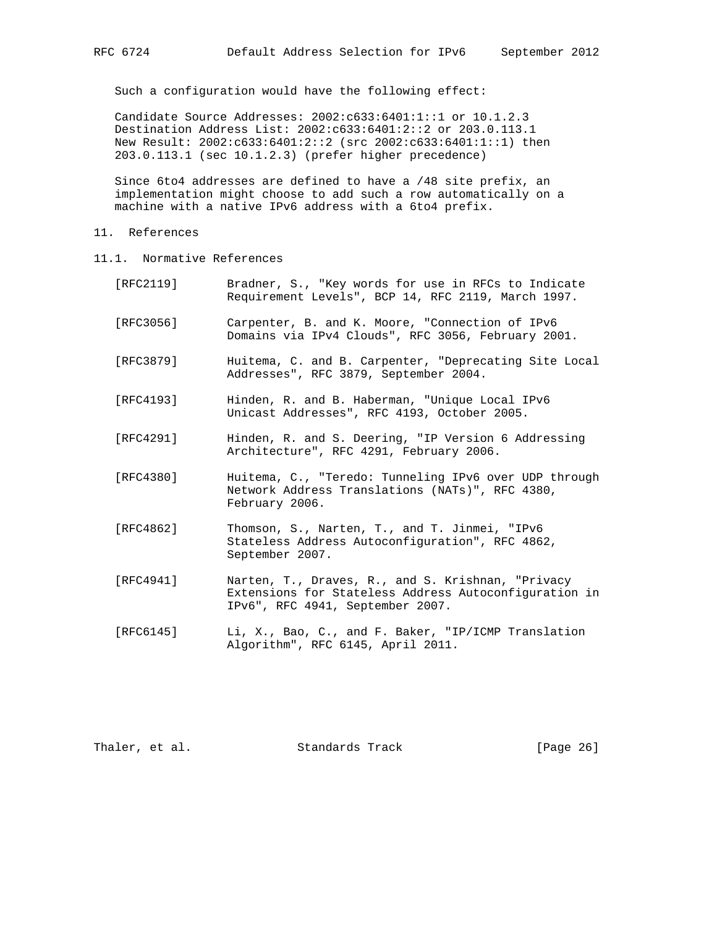Such a configuration would have the following effect:

 Candidate Source Addresses: 2002:c633:6401:1::1 or 10.1.2.3 Destination Address List: 2002:c633:6401:2::2 or 203.0.113.1 New Result: 2002:c633:6401:2::2 (src 2002:c633:6401:1::1) then 203.0.113.1 (sec 10.1.2.3) (prefer higher precedence)

 Since 6to4 addresses are defined to have a /48 site prefix, an implementation might choose to add such a row automatically on a machine with a native IPv6 address with a 6to4 prefix.

- 11. References
- 11.1. Normative References
	- [RFC2119] Bradner, S., "Key words for use in RFCs to Indicate Requirement Levels", BCP 14, RFC 2119, March 1997.
	- [RFC3056] Carpenter, B. and K. Moore, "Connection of IPv6 Domains via IPv4 Clouds", RFC 3056, February 2001.
	- [RFC3879] Huitema, C. and B. Carpenter, "Deprecating Site Local Addresses", RFC 3879, September 2004.
	- [RFC4193] Hinden, R. and B. Haberman, "Unique Local IPv6 Unicast Addresses", RFC 4193, October 2005.
	- [RFC4291] Hinden, R. and S. Deering, "IP Version 6 Addressing Architecture", RFC 4291, February 2006.
	- [RFC4380] Huitema, C., "Teredo: Tunneling IPv6 over UDP through Network Address Translations (NATs)", RFC 4380, February 2006.
	- [RFC4862] Thomson, S., Narten, T., and T. Jinmei, "IPv6 Stateless Address Autoconfiguration", RFC 4862, September 2007.
	- [RFC4941] Narten, T., Draves, R., and S. Krishnan, "Privacy Extensions for Stateless Address Autoconfiguration in IPv6", RFC 4941, September 2007.
	- [RFC6145] Li, X., Bao, C., and F. Baker, "IP/ICMP Translation Algorithm", RFC 6145, April 2011.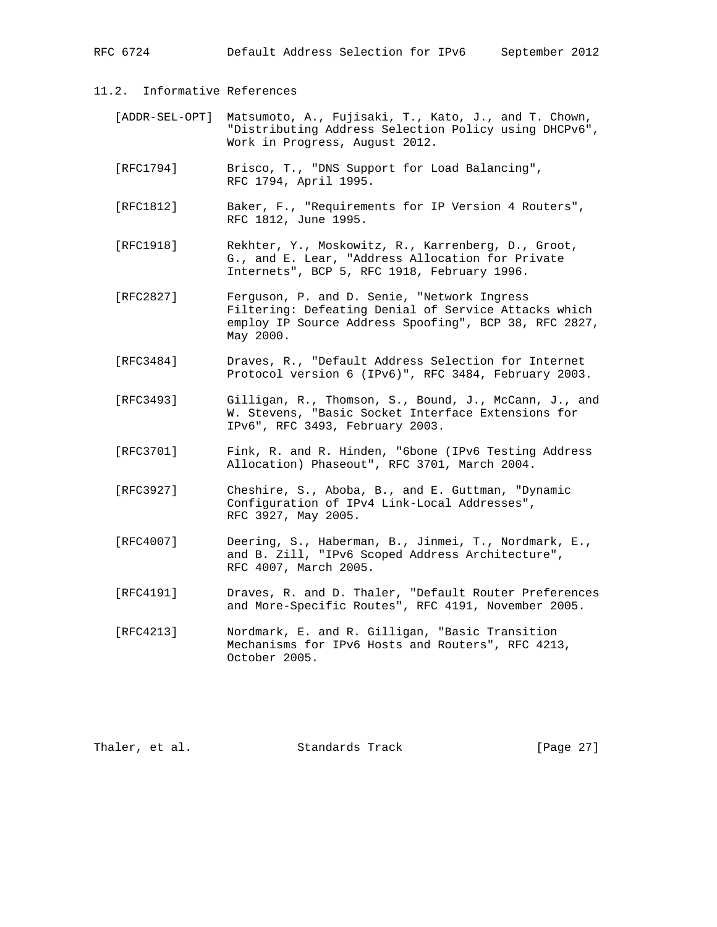RFC 6724 Default Address Selection for IPv6 September 2012

- 11.2. Informative References
	- [ADDR-SEL-OPT] Matsumoto, A., Fujisaki, T., Kato, J., and T. Chown, "Distributing Address Selection Policy using DHCPv6", Work in Progress, August 2012.
	- [RFC1794] Brisco, T., "DNS Support for Load Balancing", RFC 1794, April 1995.
	- [RFC1812] Baker, F., "Requirements for IP Version 4 Routers", RFC 1812, June 1995.
	- [RFC1918] Rekhter, Y., Moskowitz, R., Karrenberg, D., Groot, G., and E. Lear, "Address Allocation for Private Internets", BCP 5, RFC 1918, February 1996.
	- [RFC2827] Ferguson, P. and D. Senie, "Network Ingress Filtering: Defeating Denial of Service Attacks which employ IP Source Address Spoofing", BCP 38, RFC 2827, May 2000.
	- [RFC3484] Draves, R., "Default Address Selection for Internet Protocol version 6 (IPv6)", RFC 3484, February 2003.
	- [RFC3493] Gilligan, R., Thomson, S., Bound, J., McCann, J., and W. Stevens, "Basic Socket Interface Extensions for IPv6", RFC 3493, February 2003.
	- [RFC3701] Fink, R. and R. Hinden, "6bone (IPv6 Testing Address Allocation) Phaseout", RFC 3701, March 2004.
	- [RFC3927] Cheshire, S., Aboba, B., and E. Guttman, "Dynamic Configuration of IPv4 Link-Local Addresses", RFC 3927, May 2005.
	- [RFC4007] Deering, S., Haberman, B., Jinmei, T., Nordmark, E., and B. Zill, "IPv6 Scoped Address Architecture", RFC 4007, March 2005.
	- [RFC4191] Draves, R. and D. Thaler, "Default Router Preferences and More-Specific Routes", RFC 4191, November 2005.
	- [RFC4213] Nordmark, E. and R. Gilligan, "Basic Transition Mechanisms for IPv6 Hosts and Routers", RFC 4213, October 2005.

Thaler, et al. Standards Track [Page 27]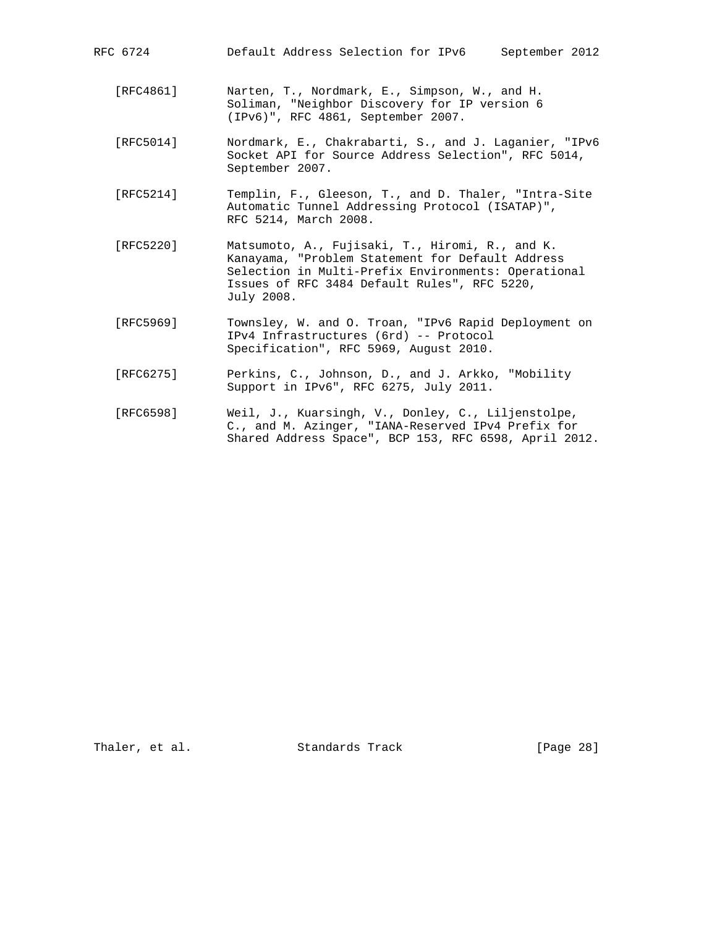| RFC 6724  | Default Address Selection for IPv6<br>September 2012                                                                                                                                                                     |
|-----------|--------------------------------------------------------------------------------------------------------------------------------------------------------------------------------------------------------------------------|
| [RFC4861] | Narten, T., Nordmark, E., Simpson, W., and H.<br>Soliman, "Neighbor Discovery for IP version 6<br>(IPv6)", RFC 4861, September 2007.                                                                                     |
| [RFC5014] | Nordmark, E., Chakrabarti, S., and J. Laganier, "IPv6<br>Socket API for Source Address Selection", RFC 5014,<br>September 2007.                                                                                          |
| [RFC5214] | Templin, F., Gleeson, T., and D. Thaler, "Intra-Site<br>Automatic Tunnel Addressing Protocol (ISATAP)",<br>RFC 5214, March 2008.                                                                                         |
| [RFC5220] | Matsumoto, A., Fujisaki, T., Hiromi, R., and K.<br>Kanayama, "Problem Statement for Default Address<br>Selection in Multi-Prefix Environments: Operational<br>Issues of RFC 3484 Default Rules", RFC 5220,<br>July 2008. |
| [RFC5969] | Townsley, W. and O. Troan, "IPv6 Rapid Deployment on<br>IPv4 Infrastructures (6rd) -- Protocol<br>Specification", RFC 5969, August 2010.                                                                                 |

- [RFC6275] Perkins, C., Johnson, D., and J. Arkko, "Mobility Support in IPv6", RFC 6275, July 2011.
- [RFC6598] Weil, J., Kuarsingh, V., Donley, C., Liljenstolpe, C., and M. Azinger, "IANA-Reserved IPv4 Prefix for Shared Address Space", BCP 153, RFC 6598, April 2012.

Thaler, et al. Standards Track [Page 28]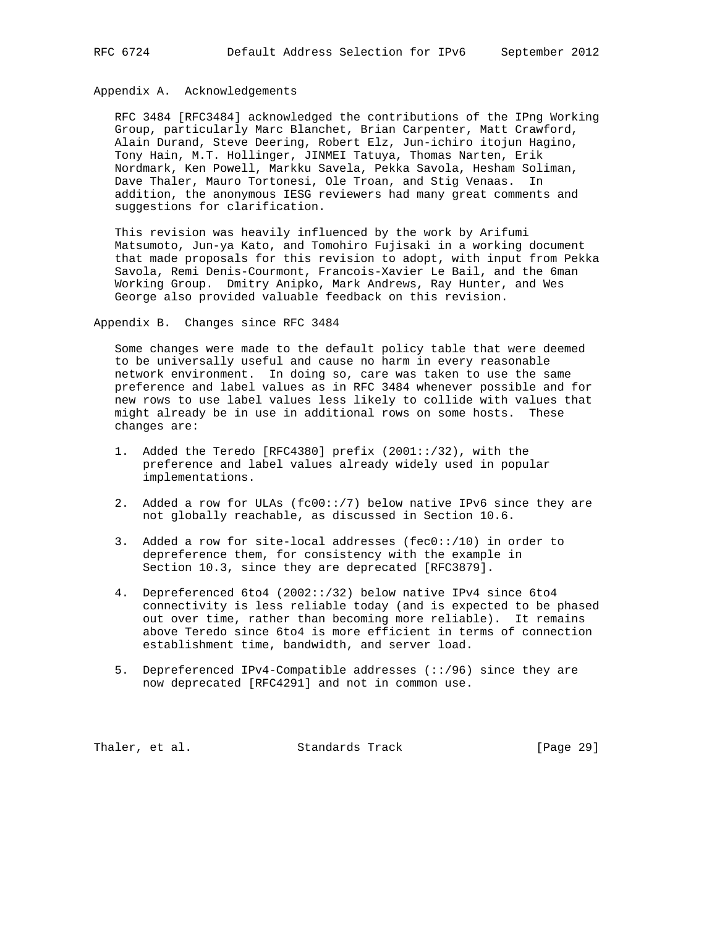# Appendix A. Acknowledgements

 RFC 3484 [RFC3484] acknowledged the contributions of the IPng Working Group, particularly Marc Blanchet, Brian Carpenter, Matt Crawford, Alain Durand, Steve Deering, Robert Elz, Jun-ichiro itojun Hagino, Tony Hain, M.T. Hollinger, JINMEI Tatuya, Thomas Narten, Erik Nordmark, Ken Powell, Markku Savela, Pekka Savola, Hesham Soliman, Dave Thaler, Mauro Tortonesi, Ole Troan, and Stig Venaas. In addition, the anonymous IESG reviewers had many great comments and suggestions for clarification.

 This revision was heavily influenced by the work by Arifumi Matsumoto, Jun-ya Kato, and Tomohiro Fujisaki in a working document that made proposals for this revision to adopt, with input from Pekka Savola, Remi Denis-Courmont, Francois-Xavier Le Bail, and the 6man Working Group. Dmitry Anipko, Mark Andrews, Ray Hunter, and Wes George also provided valuable feedback on this revision.

Appendix B. Changes since RFC 3484

 Some changes were made to the default policy table that were deemed to be universally useful and cause no harm in every reasonable network environment. In doing so, care was taken to use the same preference and label values as in RFC 3484 whenever possible and for new rows to use label values less likely to collide with values that might already be in use in additional rows on some hosts. These changes are:

- 1. Added the Teredo [RFC4380] prefix (2001::/32), with the preference and label values already widely used in popular implementations.
- 2. Added a row for ULAs (fc00::/7) below native IPv6 since they are not globally reachable, as discussed in Section 10.6.
- 3. Added a row for site-local addresses (fec0::/10) in order to depreference them, for consistency with the example in Section 10.3, since they are deprecated [RFC3879].
- 4. Depreferenced 6to4 (2002::/32) below native IPv4 since 6to4 connectivity is less reliable today (and is expected to be phased out over time, rather than becoming more reliable). It remains above Teredo since 6to4 is more efficient in terms of connection establishment time, bandwidth, and server load.
- 5. Depreferenced IPv4-Compatible addresses (::/96) since they are now deprecated [RFC4291] and not in common use.

Thaler, et al. Standards Track [Page 29]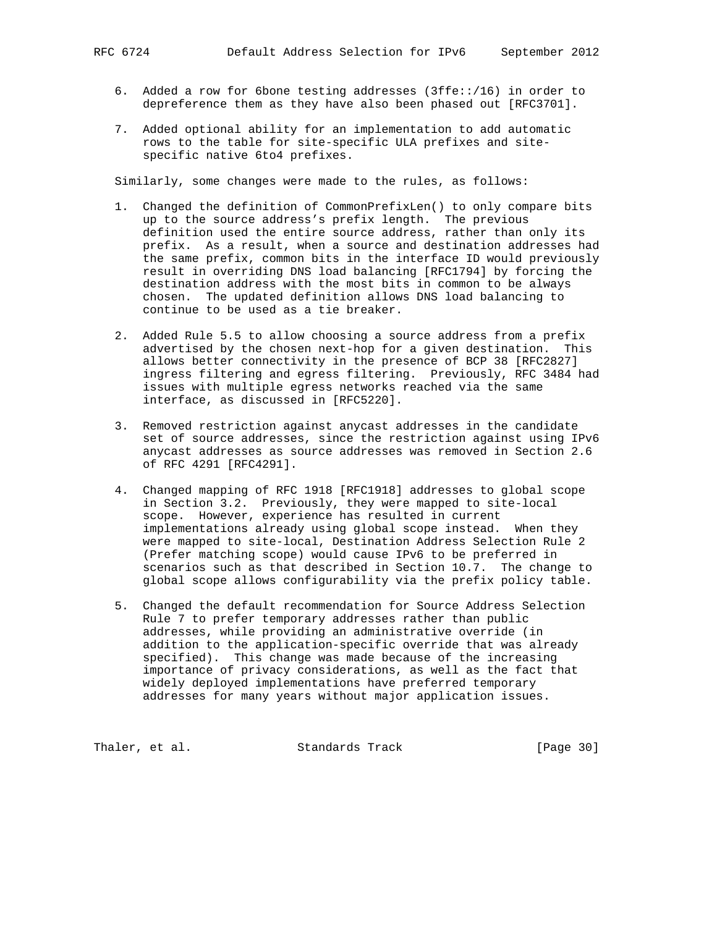- 6. Added a row for 6bone testing addresses (3ffe::/16) in order to depreference them as they have also been phased out [RFC3701].
- 7. Added optional ability for an implementation to add automatic rows to the table for site-specific ULA prefixes and site specific native 6to4 prefixes.

Similarly, some changes were made to the rules, as follows:

- 1. Changed the definition of CommonPrefixLen() to only compare bits up to the source address's prefix length. The previous definition used the entire source address, rather than only its prefix. As a result, when a source and destination addresses had the same prefix, common bits in the interface ID would previously result in overriding DNS load balancing [RFC1794] by forcing the destination address with the most bits in common to be always chosen. The updated definition allows DNS load balancing to continue to be used as a tie breaker.
- 2. Added Rule 5.5 to allow choosing a source address from a prefix advertised by the chosen next-hop for a given destination. This allows better connectivity in the presence of BCP 38 [RFC2827] ingress filtering and egress filtering. Previously, RFC 3484 had issues with multiple egress networks reached via the same interface, as discussed in [RFC5220].
- 3. Removed restriction against anycast addresses in the candidate set of source addresses, since the restriction against using IPv6 anycast addresses as source addresses was removed in Section 2.6 of RFC 4291 [RFC4291].
- 4. Changed mapping of RFC 1918 [RFC1918] addresses to global scope in Section 3.2. Previously, they were mapped to site-local scope. However, experience has resulted in current implementations already using global scope instead. When they were mapped to site-local, Destination Address Selection Rule 2 (Prefer matching scope) would cause IPv6 to be preferred in scenarios such as that described in Section 10.7. The change to global scope allows configurability via the prefix policy table.
- 5. Changed the default recommendation for Source Address Selection Rule 7 to prefer temporary addresses rather than public addresses, while providing an administrative override (in addition to the application-specific override that was already specified). This change was made because of the increasing importance of privacy considerations, as well as the fact that widely deployed implementations have preferred temporary addresses for many years without major application issues.

Thaler, et al. Standards Track [Page 30]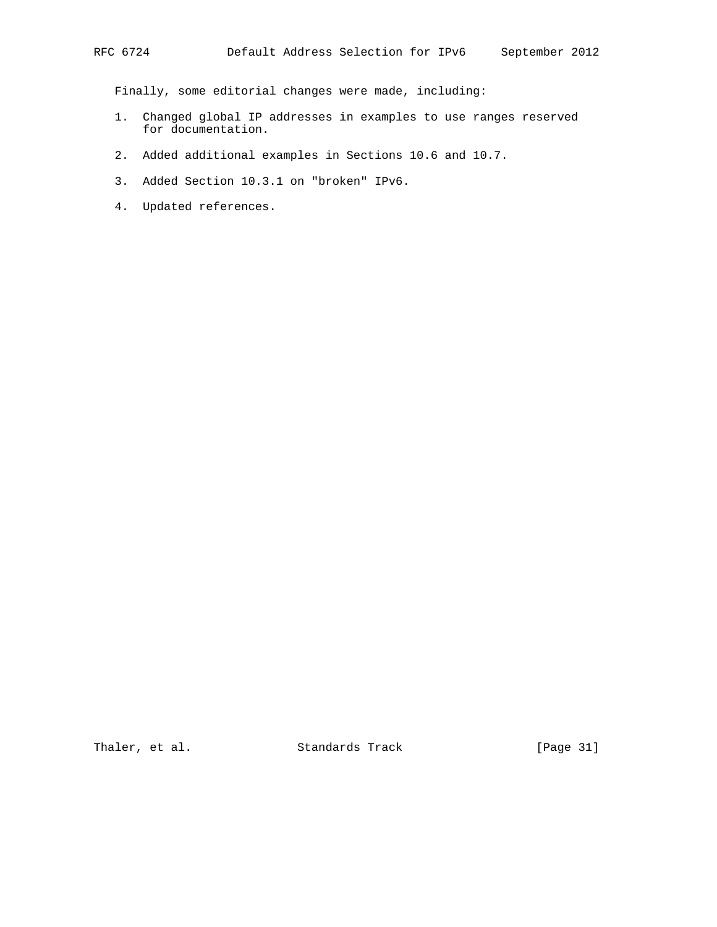Finally, some editorial changes were made, including:

- 1. Changed global IP addresses in examples to use ranges reserved for documentation.
- 2. Added additional examples in Sections 10.6 and 10.7.
- 3. Added Section 10.3.1 on "broken" IPv6.
- 4. Updated references.

Thaler, et al. Standards Track [Page 31]